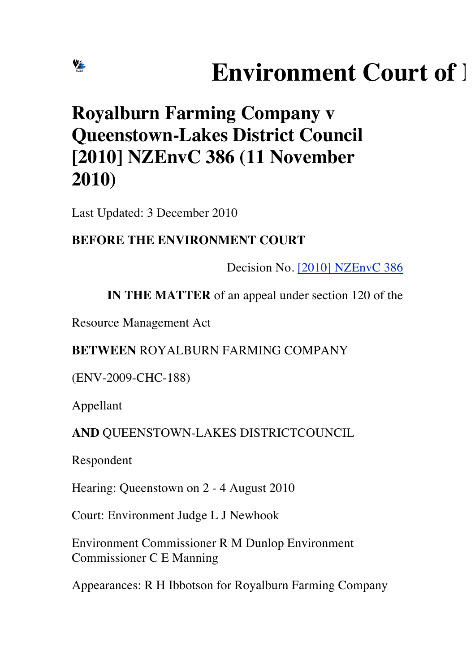# **Environment Court of 1**

# **Royalburn Farming Company v Queenstown-Lakes District Council [2010] NZEnvC 386 (11 November 2010)**

Last Updated: 3 December 2010

# **BEFORE THE ENVIRONMENT COURT**

Decision No. [2010] NZEnvC 386

**IN THE MATTER** of an appeal under section 120 of the

Resource Management Act

# **BETWEEN** ROYALBURN FARMING COMPANY

(ENV-2009-CHC-188)

Appellant

VE

# **AND** QUEENSTOWN-LAKES DISTRICTCOUNCIL

Respondent

Hearing: Queenstown on 2 - 4 August 2010

Court: Environment Judge L J Newhook

Environment Commissioner R M Dunlop Environment Commissioner C E Manning

Appearances: R H Ibbotson for Royalburn Farming Company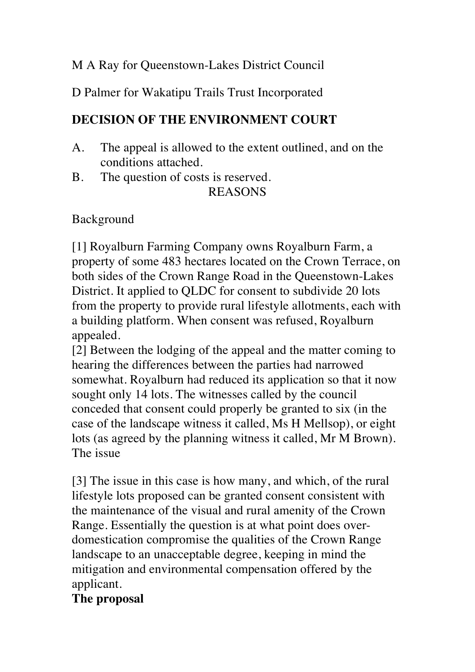#### M A Ray for Queenstown-Lakes District Council

D Palmer for Wakatipu Trails Trust Incorporated

# **DECISION OF THE ENVIRONMENT COURT**

- A. The appeal is allowed to the extent outlined, and on the conditions attached.
- B. The question of costs is reserved.

#### REASONS

# Background

[1] Royalburn Farming Company owns Royalburn Farm, a property of some 483 hectares located on the Crown Terrace, on both sides of the Crown Range Road in the Queenstown-Lakes District. It applied to QLDC for consent to subdivide 20 lots from the property to provide rural lifestyle allotments, each with a building platform. When consent was refused, Royalburn appealed.

[2] Between the lodging of the appeal and the matter coming to hearing the differences between the parties had narrowed somewhat. Royalburn had reduced its application so that it now sought only 14 lots. The witnesses called by the council conceded that consent could properly be granted to six (in the case of the landscape witness it called, Ms H Mellsop), or eight lots (as agreed by the planning witness it called, Mr M Brown). The issue

[3] The issue in this case is how many, and which, of the rural lifestyle lots proposed can be granted consent consistent with the maintenance of the visual and rural amenity of the Crown Range. Essentially the question is at what point does overdomestication compromise the qualities of the Crown Range landscape to an unacceptable degree, keeping in mind the mitigation and environmental compensation offered by the applicant.

# **The proposal**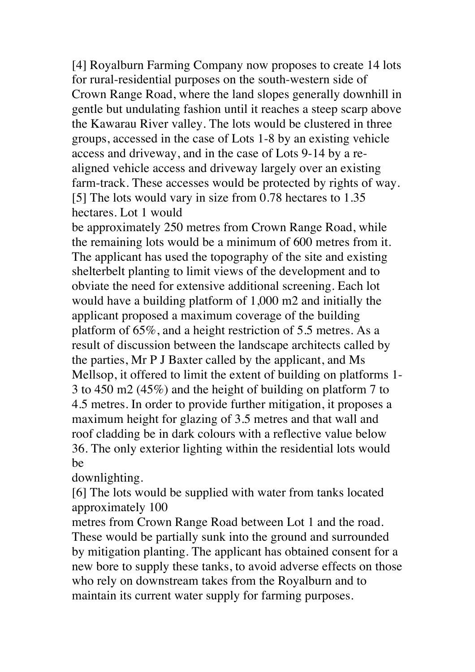[4] Royalburn Farming Company now proposes to create 14 lots for rural-residential purposes on the south-western side of Crown Range Road, where the land slopes generally downhill in gentle but undulating fashion until it reaches a steep scarp above the Kawarau River valley. The lots would be clustered in three groups, accessed in the case of Lots 1-8 by an existing vehicle access and driveway, and in the case of Lots 9-14 by a realigned vehicle access and driveway largely over an existing farm-track. These accesses would be protected by rights of way. [5] The lots would vary in size from 0.78 hectares to 1.35 hectares. Lot 1 would

be approximately 250 metres from Crown Range Road, while the remaining lots would be a minimum of 600 metres from it. The applicant has used the topography of the site and existing shelterbelt planting to limit views of the development and to obviate the need for extensive additional screening. Each lot would have a building platform of 1,000 m2 and initially the applicant proposed a maximum coverage of the building platform of 65%, and a height restriction of 5.5 metres. As a result of discussion between the landscape architects called by the parties, Mr P J Baxter called by the applicant, and Ms Mellsop, it offered to limit the extent of building on platforms 1- 3 to 450 m2 (45%) and the height of building on platform 7 to 4.5 metres. In order to provide further mitigation, it proposes a maximum height for glazing of 3.5 metres and that wall and roof cladding be in dark colours with a reflective value below 36. The only exterior lighting within the residential lots would be

downlighting.

[6] The lots would be supplied with water from tanks located approximately 100

metres from Crown Range Road between Lot 1 and the road. These would be partially sunk into the ground and surrounded by mitigation planting. The applicant has obtained consent for a new bore to supply these tanks, to avoid adverse effects on those who rely on downstream takes from the Royalburn and to maintain its current water supply for farming purposes.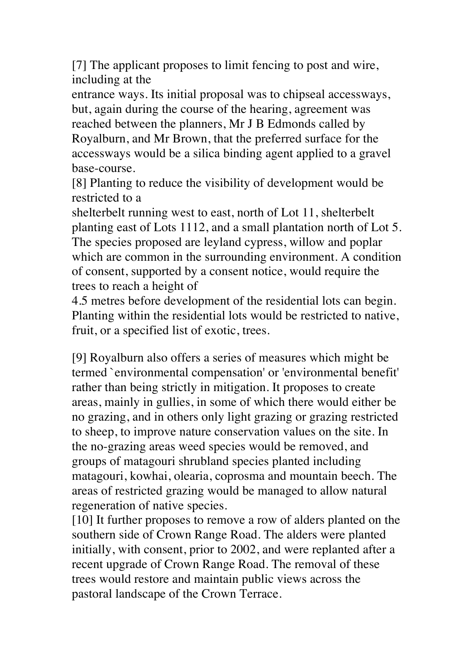[7] The applicant proposes to limit fencing to post and wire, including at the

entrance ways. Its initial proposal was to chipseal accessways, but, again during the course of the hearing, agreement was reached between the planners, Mr J B Edmonds called by Royalburn, and Mr Brown, that the preferred surface for the accessways would be a silica binding agent applied to a gravel base-course.

[8] Planting to reduce the visibility of development would be restricted to a

shelterbelt running west to east, north of Lot 11, shelterbelt planting east of Lots 1112, and a small plantation north of Lot 5. The species proposed are leyland cypress, willow and poplar which are common in the surrounding environment. A condition of consent, supported by a consent notice, would require the trees to reach a height of

4.5 metres before development of the residential lots can begin. Planting within the residential lots would be restricted to native, fruit, or a specified list of exotic, trees.

[9] Royalburn also offers a series of measures which might be termed `environmental compensation' or 'environmental benefit' rather than being strictly in mitigation. It proposes to create areas, mainly in gullies, in some of which there would either be no grazing, and in others only light grazing or grazing restricted to sheep, to improve nature conservation values on the site. In the no-grazing areas weed species would be removed, and groups of matagouri shrubland species planted including matagouri, kowhai, olearia, coprosma and mountain beech. The areas of restricted grazing would be managed to allow natural regeneration of native species.

[10] It further proposes to remove a row of alders planted on the southern side of Crown Range Road. The alders were planted initially, with consent, prior to 2002, and were replanted after a recent upgrade of Crown Range Road. The removal of these trees would restore and maintain public views across the pastoral landscape of the Crown Terrace.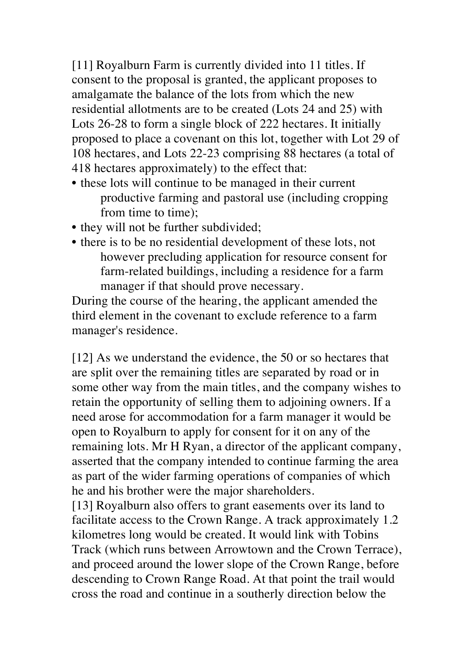[11] Royalburn Farm is currently divided into 11 titles. If consent to the proposal is granted, the applicant proposes to amalgamate the balance of the lots from which the new residential allotments are to be created (Lots 24 and 25) with Lots 26-28 to form a single block of 222 hectares. It initially proposed to place a covenant on this lot, together with Lot 29 of 108 hectares, and Lots 22-23 comprising 88 hectares (a total of 418 hectares approximately) to the effect that:

- these lots will continue to be managed in their current productive farming and pastoral use (including cropping from time to time);
- they will not be further subdivided;
- there is to be no residential development of these lots, not however precluding application for resource consent for farm-related buildings, including a residence for a farm manager if that should prove necessary.

During the course of the hearing, the applicant amended the third element in the covenant to exclude reference to a farm manager's residence.

[12] As we understand the evidence, the 50 or so hectares that are split over the remaining titles are separated by road or in some other way from the main titles, and the company wishes to retain the opportunity of selling them to adjoining owners. If a need arose for accommodation for a farm manager it would be open to Royalburn to apply for consent for it on any of the remaining lots. Mr H Ryan, a director of the applicant company, asserted that the company intended to continue farming the area as part of the wider farming operations of companies of which he and his brother were the major shareholders.

[13] Royalburn also offers to grant easements over its land to facilitate access to the Crown Range. A track approximately 1.2 kilometres long would be created. It would link with Tobins Track (which runs between Arrowtown and the Crown Terrace), and proceed around the lower slope of the Crown Range, before descending to Crown Range Road. At that point the trail would cross the road and continue in a southerly direction below the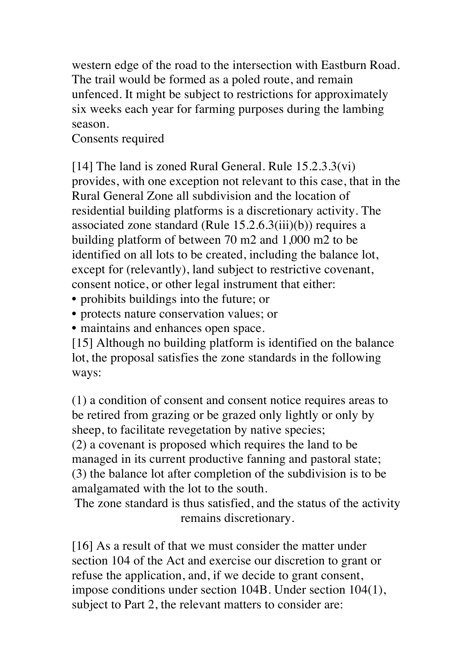western edge of the road to the intersection with Eastburn Road. The trail would be formed as a poled route, and remain unfenced. It might be subject to restrictions for approximately six weeks each year for farming purposes during the lambing season.

Consents required

[14] The land is zoned Rural General. Rule 15.2.3.3(vi) provides, with one exception not relevant to this case, that in the Rural General Zone all subdivision and the location of residential building platforms is a discretionary activity. The associated zone standard (Rule 15.2.6.3(iii)(b)) requires a building platform of between 70 m2 and 1,000 m2 to be identified on all lots to be created, including the balance lot, except for (relevantly), land subject to restrictive covenant, consent notice, or other legal instrument that either:

- prohibits buildings into the future; or
- protects nature conservation values; or
- maintains and enhances open space.

[15] Although no building platform is identified on the balance lot, the proposal satisfies the zone standards in the following ways:

(1) a condition of consent and consent notice requires areas to be retired from grazing or be grazed only lightly or only by sheep, to facilitate revegetation by native species;

(2) a covenant is proposed which requires the land to be managed in its current productive fanning and pastoral state; (3) the balance lot after completion of the subdivision is to be amalgamated with the lot to the south.

The zone standard is thus satisfied, and the status of the activity remains discretionary.

[16] As a result of that we must consider the matter under section 104 of the Act and exercise our discretion to grant or refuse the application, and, if we decide to grant consent, impose conditions under section 104B. Under section 104(1), subject to Part 2, the relevant matters to consider are: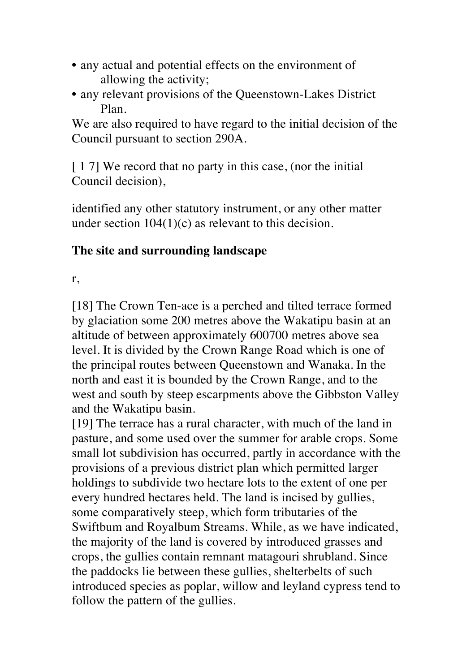- any actual and potential effects on the environment of allowing the activity;
- any relevant provisions of the Queenstown-Lakes District Plan.

We are also required to have regard to the initial decision of the Council pursuant to section 290A.

[17] We record that no party in this case, (nor the initial Council decision),

identified any other statutory instrument, or any other matter under section  $104(1)(c)$  as relevant to this decision.

#### **The site and surrounding landscape**

r,

[18] The Crown Ten-ace is a perched and tilted terrace formed by glaciation some 200 metres above the Wakatipu basin at an altitude of between approximately 600700 metres above sea level. It is divided by the Crown Range Road which is one of the principal routes between Queenstown and Wanaka. In the north and east it is bounded by the Crown Range, and to the west and south by steep escarpments above the Gibbston Valley and the Wakatipu basin.

[19] The terrace has a rural character, with much of the land in pasture, and some used over the summer for arable crops. Some small lot subdivision has occurred, partly in accordance with the provisions of a previous district plan which permitted larger holdings to subdivide two hectare lots to the extent of one per every hundred hectares held. The land is incised by gullies, some comparatively steep, which form tributaries of the Swiftbum and Royalbum Streams. While, as we have indicated, the majority of the land is covered by introduced grasses and crops, the gullies contain remnant matagouri shrubland. Since the paddocks lie between these gullies, shelterbelts of such introduced species as poplar, willow and leyland cypress tend to follow the pattern of the gullies.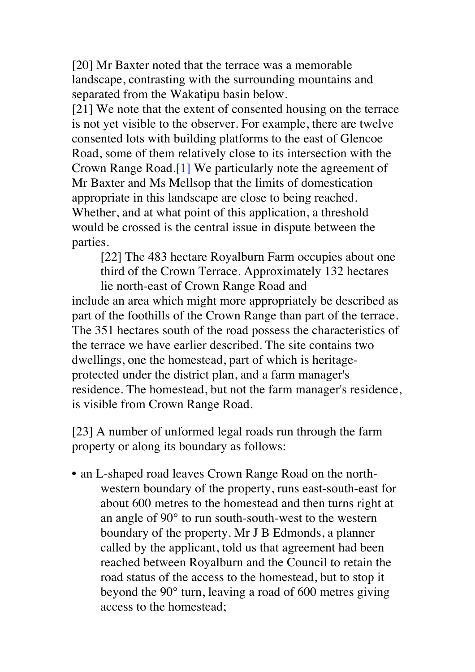[20] Mr Baxter noted that the terrace was a memorable landscape, contrasting with the surrounding mountains and separated from the Wakatipu basin below.

[21] We note that the extent of consented housing on the terrace is not yet visible to the observer. For example, there are twelve consented lots with building platforms to the east of Glencoe Road, some of them relatively close to its intersection with the Crown Range Road.[1] We particularly note the agreement of Mr Baxter and Ms Mellsop that the limits of domestication appropriate in this landscape are close to being reached. Whether, and at what point of this application, a threshold would be crossed is the central issue in dispute between the parties.

[22] The 483 hectare Royalburn Farm occupies about one third of the Crown Terrace. Approximately 132 hectares lie north-east of Crown Range Road and

include an area which might more appropriately be described as part of the foothills of the Crown Range than part of the terrace. The 351 hectares south of the road possess the characteristics of the terrace we have earlier described. The site contains two dwellings, one the homestead, part of which is heritageprotected under the district plan, and a farm manager's residence. The homestead, but not the farm manager's residence, is visible from Crown Range Road.

[23] A number of unformed legal roads run through the farm property or along its boundary as follows:

• an L-shaped road leaves Crown Range Road on the northwestern boundary of the property, runs east-south-east for about 600 metres to the homestead and then turns right at an angle of 90° to run south-south-west to the western boundary of the property. Mr J B Edmonds, a planner called by the applicant, told us that agreement had been reached between Royalburn and the Council to retain the road status of the access to the homestead, but to stop it beyond the 90° turn, leaving a road of 600 metres giving access to the homestead;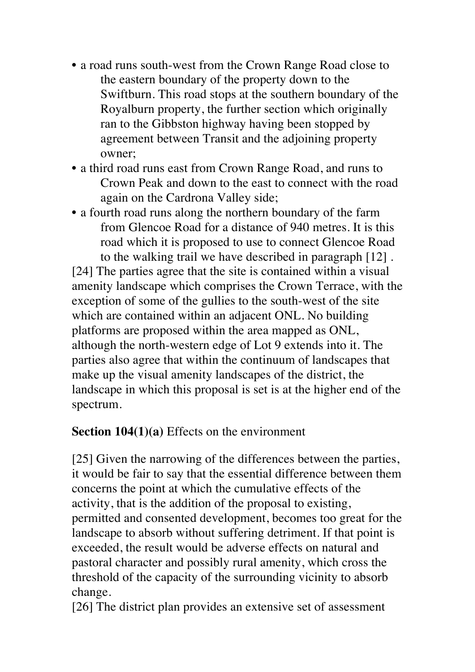- a road runs south-west from the Crown Range Road close to the eastern boundary of the property down to the Swiftburn. This road stops at the southern boundary of the Royalburn property, the further section which originally ran to the Gibbston highway having been stopped by agreement between Transit and the adjoining property owner;
- a third road runs east from Crown Range Road, and runs to Crown Peak and down to the east to connect with the road again on the Cardrona Valley side;
- a fourth road runs along the northern boundary of the farm from Glencoe Road for a distance of 940 metres. It is this road which it is proposed to use to connect Glencoe Road to the walking trail we have described in paragraph [12] .

[24] The parties agree that the site is contained within a visual amenity landscape which comprises the Crown Terrace, with the exception of some of the gullies to the south-west of the site which are contained within an adjacent ONL. No building platforms are proposed within the area mapped as ONL, although the north-western edge of Lot 9 extends into it. The parties also agree that within the continuum of landscapes that make up the visual amenity landscapes of the district, the landscape in which this proposal is set is at the higher end of the spectrum.

#### **Section 104(1)(a)** Effects on the environment

[25] Given the narrowing of the differences between the parties, it would be fair to say that the essential difference between them concerns the point at which the cumulative effects of the activity, that is the addition of the proposal to existing, permitted and consented development, becomes too great for the landscape to absorb without suffering detriment. If that point is exceeded, the result would be adverse effects on natural and pastoral character and possibly rural amenity, which cross the threshold of the capacity of the surrounding vicinity to absorb change.

[26] The district plan provides an extensive set of assessment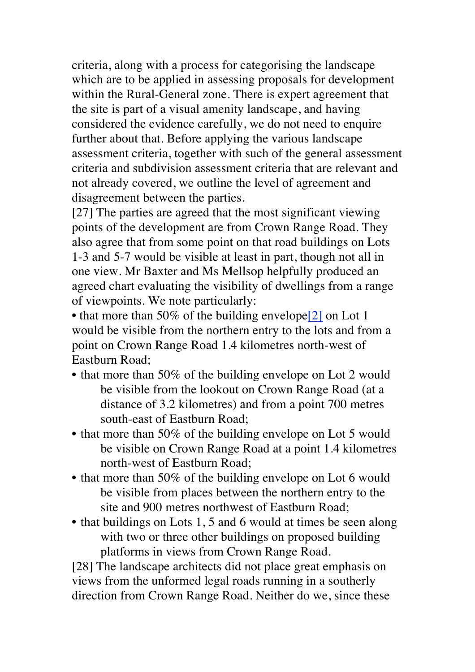criteria, along with a process for categorising the landscape which are to be applied in assessing proposals for development within the Rural-General zone. There is expert agreement that the site is part of a visual amenity landscape, and having considered the evidence carefully, we do not need to enquire further about that. Before applying the various landscape assessment criteria, together with such of the general assessment criteria and subdivision assessment criteria that are relevant and not already covered, we outline the level of agreement and disagreement between the parties.

[27] The parties are agreed that the most significant viewing points of the development are from Crown Range Road. They also agree that from some point on that road buildings on Lots 1-3 and 5-7 would be visible at least in part, though not all in one view. Mr Baxter and Ms Mellsop helpfully produced an agreed chart evaluating the visibility of dwellings from a range of viewpoints. We note particularly:

• that more than 50% of the building envelope<sup>[2]</sup> on Lot 1 would be visible from the northern entry to the lots and from a point on Crown Range Road 1.4 kilometres north-west of Eastburn Road;

- that more than 50% of the building envelope on Lot 2 would be visible from the lookout on Crown Range Road (at a distance of 3.2 kilometres) and from a point 700 metres south-east of Eastburn Road;
- that more than 50% of the building envelope on Lot 5 would be visible on Crown Range Road at a point 1.4 kilometres north-west of Eastburn Road;
- that more than 50% of the building envelope on Lot 6 would be visible from places between the northern entry to the site and 900 metres northwest of Eastburn Road;
- that buildings on Lots 1, 5 and 6 would at times be seen along with two or three other buildings on proposed building platforms in views from Crown Range Road.

[28] The landscape architects did not place great emphasis on views from the unformed legal roads running in a southerly direction from Crown Range Road. Neither do we, since these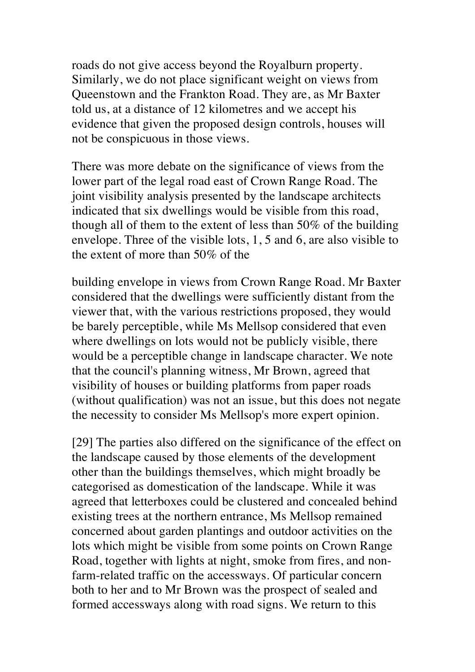roads do not give access beyond the Royalburn property. Similarly, we do not place significant weight on views from Queenstown and the Frankton Road. They are, as Mr Baxter told us, at a distance of 12 kilometres and we accept his evidence that given the proposed design controls, houses will not be conspicuous in those views.

There was more debate on the significance of views from the lower part of the legal road east of Crown Range Road. The joint visibility analysis presented by the landscape architects indicated that six dwellings would be visible from this road, though all of them to the extent of less than 50% of the building envelope. Three of the visible lots, 1, 5 and 6, are also visible to the extent of more than 50% of the

building envelope in views from Crown Range Road. Mr Baxter considered that the dwellings were sufficiently distant from the viewer that, with the various restrictions proposed, they would be barely perceptible, while Ms Mellsop considered that even where dwellings on lots would not be publicly visible, there would be a perceptible change in landscape character. We note that the council's planning witness, Mr Brown, agreed that visibility of houses or building platforms from paper roads (without qualification) was not an issue, but this does not negate the necessity to consider Ms Mellsop's more expert opinion.

[29] The parties also differed on the significance of the effect on the landscape caused by those elements of the development other than the buildings themselves, which might broadly be categorised as domestication of the landscape. While it was agreed that letterboxes could be clustered and concealed behind existing trees at the northern entrance, Ms Mellsop remained concerned about garden plantings and outdoor activities on the lots which might be visible from some points on Crown Range Road, together with lights at night, smoke from fires, and nonfarm-related traffic on the accessways. Of particular concern both to her and to Mr Brown was the prospect of sealed and formed accessways along with road signs. We return to this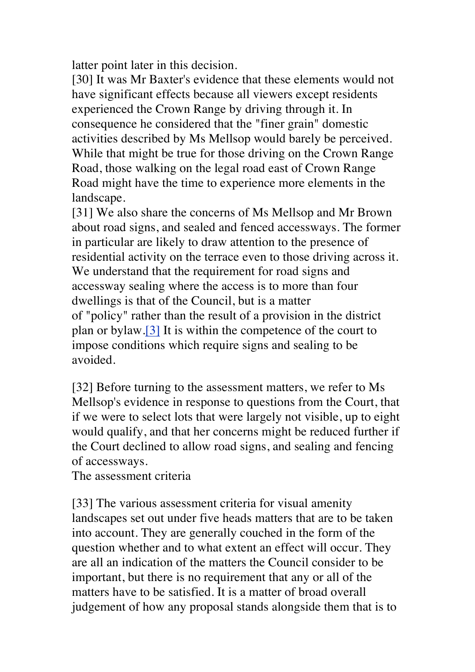latter point later in this decision.

[30] It was Mr Baxter's evidence that these elements would not have significant effects because all viewers except residents experienced the Crown Range by driving through it. In consequence he considered that the "finer grain" domestic activities described by Ms Mellsop would barely be perceived. While that might be true for those driving on the Crown Range Road, those walking on the legal road east of Crown Range Road might have the time to experience more elements in the landscape.

[31] We also share the concerns of Ms Mellsop and Mr Brown about road signs, and sealed and fenced accessways. The former in particular are likely to draw attention to the presence of residential activity on the terrace even to those driving across it. We understand that the requirement for road signs and accessway sealing where the access is to more than four dwellings is that of the Council, but is a matter of "policy" rather than the result of a provision in the district plan or bylaw.[3] It is within the competence of the court to impose conditions which require signs and sealing to be avoided.

[32] Before turning to the assessment matters, we refer to Ms Mellsop's evidence in response to questions from the Court, that if we were to select lots that were largely not visible, up to eight would qualify, and that her concerns might be reduced further if the Court declined to allow road signs, and sealing and fencing of accessways.

The assessment criteria

[33] The various assessment criteria for visual amenity landscapes set out under five heads matters that are to be taken into account. They are generally couched in the form of the question whether and to what extent an effect will occur. They are all an indication of the matters the Council consider to be important, but there is no requirement that any or all of the matters have to be satisfied. It is a matter of broad overall judgement of how any proposal stands alongside them that is to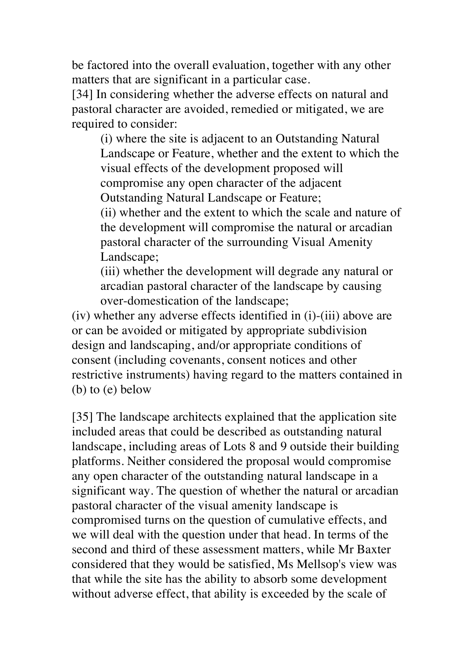be factored into the overall evaluation, together with any other matters that are significant in a particular case.

[34] In considering whether the adverse effects on natural and pastoral character are avoided, remedied or mitigated, we are required to consider:

(i) where the site is adjacent to an Outstanding Natural Landscape or Feature, whether and the extent to which the visual effects of the development proposed will compromise any open character of the adjacent Outstanding Natural Landscape or Feature;

(ii) whether and the extent to which the scale and nature of the development will compromise the natural or arcadian pastoral character of the surrounding Visual Amenity Landscape;

(iii) whether the development will degrade any natural or arcadian pastoral character of the landscape by causing over-domestication of the landscape;

(iv) whether any adverse effects identified in (i)-(iii) above are or can be avoided or mitigated by appropriate subdivision design and landscaping, and/or appropriate conditions of consent (including covenants, consent notices and other restrictive instruments) having regard to the matters contained in (b) to (e) below

[35] The landscape architects explained that the application site included areas that could be described as outstanding natural landscape, including areas of Lots 8 and 9 outside their building platforms. Neither considered the proposal would compromise any open character of the outstanding natural landscape in a significant way. The question of whether the natural or arcadian pastoral character of the visual amenity landscape is compromised turns on the question of cumulative effects, and we will deal with the question under that head. In terms of the second and third of these assessment matters, while Mr Baxter considered that they would be satisfied, Ms Mellsop's view was that while the site has the ability to absorb some development without adverse effect, that ability is exceeded by the scale of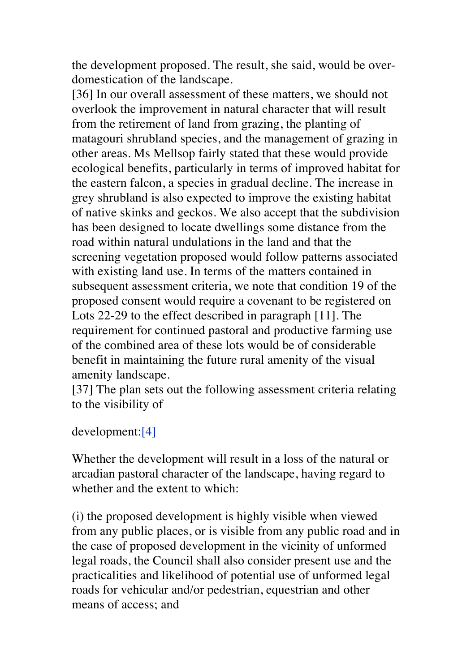the development proposed. The result, she said, would be overdomestication of the landscape.

[36] In our overall assessment of these matters, we should not overlook the improvement in natural character that will result from the retirement of land from grazing, the planting of matagouri shrubland species, and the management of grazing in other areas. Ms Mellsop fairly stated that these would provide ecological benefits, particularly in terms of improved habitat for the eastern falcon, a species in gradual decline. The increase in grey shrubland is also expected to improve the existing habitat of native skinks and geckos. We also accept that the subdivision has been designed to locate dwellings some distance from the road within natural undulations in the land and that the screening vegetation proposed would follow patterns associated with existing land use. In terms of the matters contained in subsequent assessment criteria, we note that condition 19 of the proposed consent would require a covenant to be registered on Lots 22-29 to the effect described in paragraph [11]. The requirement for continued pastoral and productive farming use of the combined area of these lots would be of considerable benefit in maintaining the future rural amenity of the visual amenity landscape.

[37] The plan sets out the following assessment criteria relating to the visibility of

#### development:[4]

Whether the development will result in a loss of the natural or arcadian pastoral character of the landscape, having regard to whether and the extent to which:

(i) the proposed development is highly visible when viewed from any public places, or is visible from any public road and in the case of proposed development in the vicinity of unformed legal roads, the Council shall also consider present use and the practicalities and likelihood of potential use of unformed legal roads for vehicular and/or pedestrian, equestrian and other means of access; and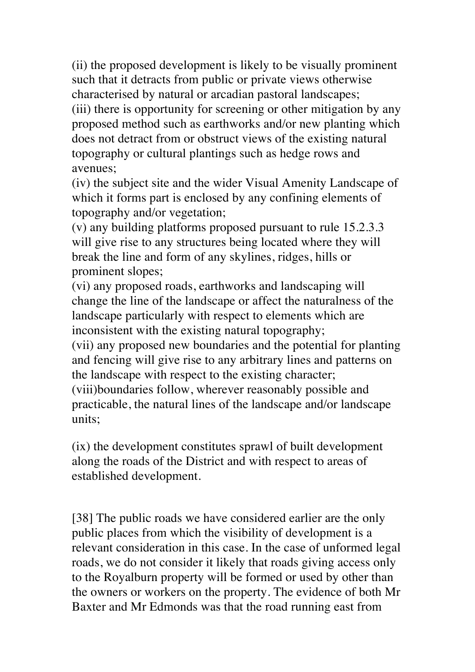(ii) the proposed development is likely to be visually prominent such that it detracts from public or private views otherwise characterised by natural or arcadian pastoral landscapes; (iii) there is opportunity for screening or other mitigation by any proposed method such as earthworks and/or new planting which does not detract from or obstruct views of the existing natural topography or cultural plantings such as hedge rows and avenues;

(iv) the subject site and the wider Visual Amenity Landscape of which it forms part is enclosed by any confining elements of topography and/or vegetation;

(v) any building platforms proposed pursuant to rule 15.2.3.3 will give rise to any structures being located where they will break the line and form of any skylines, ridges, hills or prominent slopes;

(vi) any proposed roads, earthworks and landscaping will change the line of the landscape or affect the naturalness of the landscape particularly with respect to elements which are inconsistent with the existing natural topography;

(vii) any proposed new boundaries and the potential for planting and fencing will give rise to any arbitrary lines and patterns on the landscape with respect to the existing character;

(viii)boundaries follow, wherever reasonably possible and practicable, the natural lines of the landscape and/or landscape units;

(ix) the development constitutes sprawl of built development along the roads of the District and with respect to areas of established development.

[38] The public roads we have considered earlier are the only public places from which the visibility of development is a relevant consideration in this case. In the case of unformed legal roads, we do not consider it likely that roads giving access only to the Royalburn property will be formed or used by other than the owners or workers on the property. The evidence of both Mr Baxter and Mr Edmonds was that the road running east from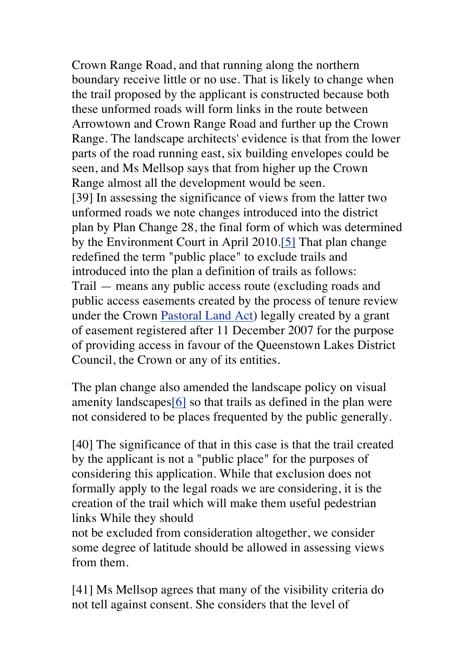Crown Range Road, and that running along the northern boundary receive little or no use. That is likely to change when the trail proposed by the applicant is constructed because both these unformed roads will form links in the route between Arrowtown and Crown Range Road and further up the Crown Range. The landscape architects' evidence is that from the lower parts of the road running east, six building envelopes could be seen, and Ms Mellsop says that from higher up the Crown Range almost all the development would be seen. [39] In assessing the significance of views from the latter two unformed roads we note changes introduced into the district plan by Plan Change 28, the final form of which was determined by the Environment Court in April 2010.[5] That plan change redefined the term "public place" to exclude trails and introduced into the plan a definition of trails as follows: Trail — means any public access route (excluding roads and public access easements created by the process of tenure review under the Crown Pastoral Land Act) legally created by a grant of easement registered after 11 December 2007 for the purpose of providing access in favour of the Queenstown Lakes District Council, the Crown or any of its entities.

The plan change also amended the landscape policy on visual amenity landscapes[6] so that trails as defined in the plan were not considered to be places frequented by the public generally.

[40] The significance of that in this case is that the trail created by the applicant is not a "public place" for the purposes of considering this application. While that exclusion does not formally apply to the legal roads we are considering, it is the creation of the trail which will make them useful pedestrian links While they should

not be excluded from consideration altogether, we consider some degree of latitude should be allowed in assessing views from them.

[41] Ms Mellsop agrees that many of the visibility criteria do not tell against consent. She considers that the level of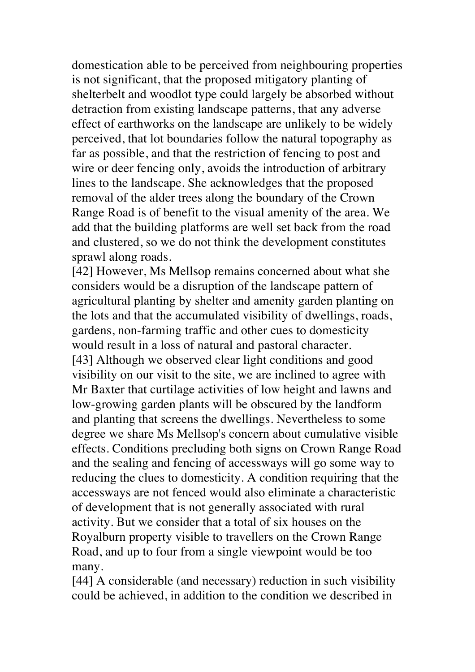domestication able to be perceived from neighbouring properties is not significant, that the proposed mitigatory planting of shelterbelt and woodlot type could largely be absorbed without detraction from existing landscape patterns, that any adverse effect of earthworks on the landscape are unlikely to be widely perceived, that lot boundaries follow the natural topography as far as possible, and that the restriction of fencing to post and wire or deer fencing only, avoids the introduction of arbitrary lines to the landscape. She acknowledges that the proposed removal of the alder trees along the boundary of the Crown Range Road is of benefit to the visual amenity of the area. We add that the building platforms are well set back from the road and clustered, so we do not think the development constitutes sprawl along roads.

[42] However, Ms Mellsop remains concerned about what she considers would be a disruption of the landscape pattern of agricultural planting by shelter and amenity garden planting on the lots and that the accumulated visibility of dwellings, roads, gardens, non-farming traffic and other cues to domesticity would result in a loss of natural and pastoral character. [43] Although we observed clear light conditions and good visibility on our visit to the site, we are inclined to agree with Mr Baxter that curtilage activities of low height and lawns and low-growing garden plants will be obscured by the landform and planting that screens the dwellings. Nevertheless to some degree we share Ms Mellsop's concern about cumulative visible effects. Conditions precluding both signs on Crown Range Road and the sealing and fencing of accessways will go some way to reducing the clues to domesticity. A condition requiring that the accessways are not fenced would also eliminate a characteristic of development that is not generally associated with rural activity. But we consider that a total of six houses on the Royalburn property visible to travellers on the Crown Range Road, and up to four from a single viewpoint would be too many.

[44] A considerable (and necessary) reduction in such visibility could be achieved, in addition to the condition we described in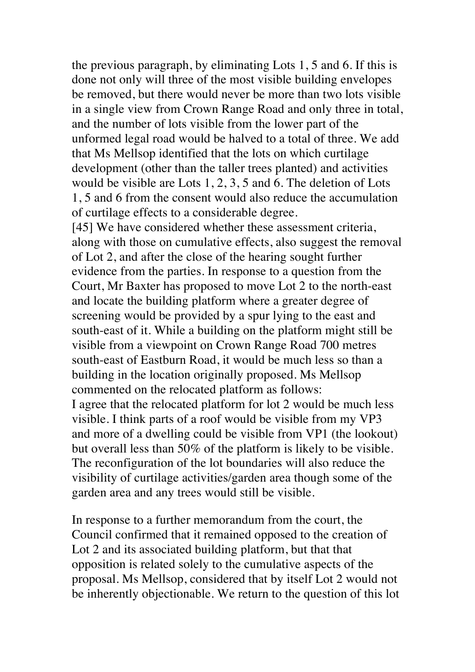the previous paragraph, by eliminating Lots 1, 5 and 6. If this is done not only will three of the most visible building envelopes be removed, but there would never be more than two lots visible in a single view from Crown Range Road and only three in total, and the number of lots visible from the lower part of the unformed legal road would be halved to a total of three. We add that Ms Mellsop identified that the lots on which curtilage development (other than the taller trees planted) and activities would be visible are Lots 1, 2, 3, 5 and 6. The deletion of Lots 1, 5 and 6 from the consent would also reduce the accumulation of curtilage effects to a considerable degree.

[45] We have considered whether these assessment criteria, along with those on cumulative effects, also suggest the removal of Lot 2, and after the close of the hearing sought further evidence from the parties. In response to a question from the Court, Mr Baxter has proposed to move Lot 2 to the north-east and locate the building platform where a greater degree of screening would be provided by a spur lying to the east and south-east of it. While a building on the platform might still be visible from a viewpoint on Crown Range Road 700 metres south-east of Eastburn Road, it would be much less so than a building in the location originally proposed. Ms Mellsop commented on the relocated platform as follows: I agree that the relocated platform for lot 2 would be much less visible. I think parts of a roof would be visible from my VP3 and more of a dwelling could be visible from VP1 (the lookout) but overall less than 50% of the platform is likely to be visible. The reconfiguration of the lot boundaries will also reduce the visibility of curtilage activities/garden area though some of the garden area and any trees would still be visible.

In response to a further memorandum from the court, the Council confirmed that it remained opposed to the creation of Lot 2 and its associated building platform, but that that opposition is related solely to the cumulative aspects of the proposal. Ms Mellsop, considered that by itself Lot 2 would not be inherently objectionable. We return to the question of this lot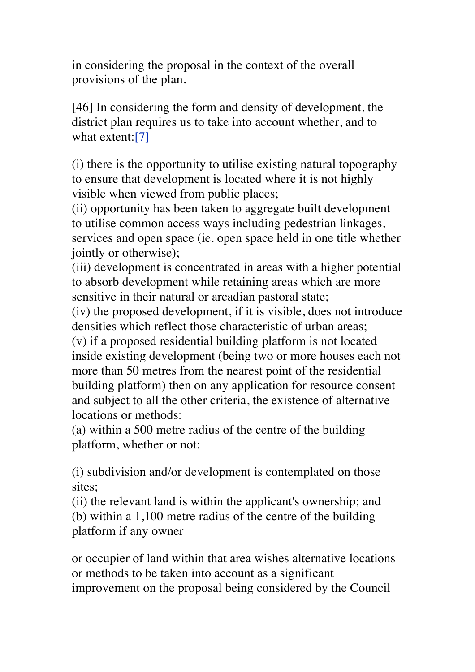in considering the proposal in the context of the overall provisions of the plan.

[46] In considering the form and density of development, the district plan requires us to take into account whether, and to what extent:[7]

(i) there is the opportunity to utilise existing natural topography to ensure that development is located where it is not highly visible when viewed from public places;

(ii) opportunity has been taken to aggregate built development to utilise common access ways including pedestrian linkages, services and open space (ie. open space held in one title whether jointly or otherwise);

(iii) development is concentrated in areas with a higher potential to absorb development while retaining areas which are more sensitive in their natural or arcadian pastoral state;

(iv) the proposed development, if it is visible, does not introduce densities which reflect those characteristic of urban areas;

(v) if a proposed residential building platform is not located inside existing development (being two or more houses each not more than 50 metres from the nearest point of the residential building platform) then on any application for resource consent and subject to all the other criteria, the existence of alternative locations or methods:

(a) within a 500 metre radius of the centre of the building platform, whether or not:

(i) subdivision and/or development is contemplated on those sites;

(ii) the relevant land is within the applicant's ownership; and (b) within a 1,100 metre radius of the centre of the building platform if any owner

or occupier of land within that area wishes alternative locations or methods to be taken into account as a significant improvement on the proposal being considered by the Council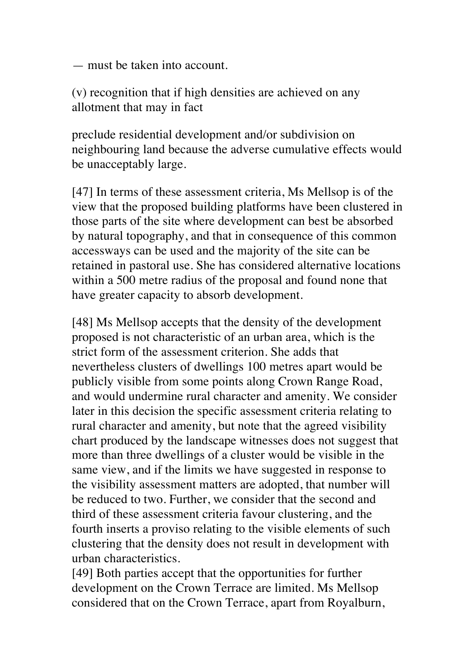— must be taken into account.

(v) recognition that if high densities are achieved on any allotment that may in fact

preclude residential development and/or subdivision on neighbouring land because the adverse cumulative effects would be unacceptably large.

[47] In terms of these assessment criteria, Ms Mellsop is of the view that the proposed building platforms have been clustered in those parts of the site where development can best be absorbed by natural topography, and that in consequence of this common accessways can be used and the majority of the site can be retained in pastoral use. She has considered alternative locations within a 500 metre radius of the proposal and found none that have greater capacity to absorb development.

[48] Ms Mellsop accepts that the density of the development proposed is not characteristic of an urban area, which is the strict form of the assessment criterion. She adds that nevertheless clusters of dwellings 100 metres apart would be publicly visible from some points along Crown Range Road, and would undermine rural character and amenity. We consider later in this decision the specific assessment criteria relating to rural character and amenity, but note that the agreed visibility chart produced by the landscape witnesses does not suggest that more than three dwellings of a cluster would be visible in the same view, and if the limits we have suggested in response to the visibility assessment matters are adopted, that number will be reduced to two. Further, we consider that the second and third of these assessment criteria favour clustering, and the fourth inserts a proviso relating to the visible elements of such clustering that the density does not result in development with urban characteristics.

[49] Both parties accept that the opportunities for further development on the Crown Terrace are limited. Ms Mellsop considered that on the Crown Terrace, apart from Royalburn,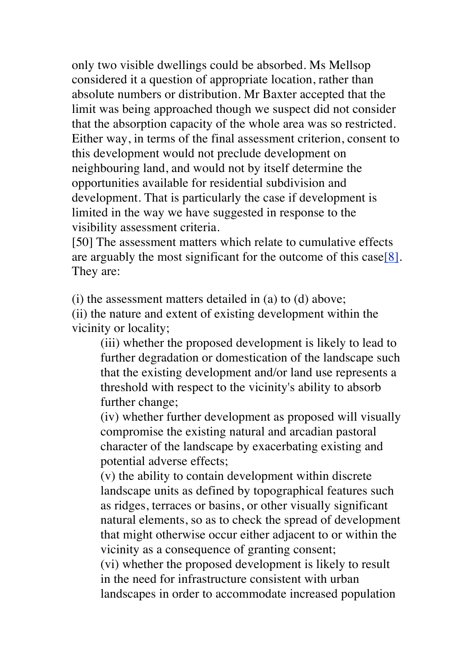only two visible dwellings could be absorbed. Ms Mellsop considered it a question of appropriate location, rather than absolute numbers or distribution. Mr Baxter accepted that the limit was being approached though we suspect did not consider that the absorption capacity of the whole area was so restricted. Either way, in terms of the final assessment criterion, consent to this development would not preclude development on neighbouring land, and would not by itself determine the opportunities available for residential subdivision and development. That is particularly the case if development is limited in the way we have suggested in response to the visibility assessment criteria.

[50] The assessment matters which relate to cumulative effects are arguably the most significant for the outcome of this case[8]. They are:

(i) the assessment matters detailed in (a) to (d) above;

(ii) the nature and extent of existing development within the vicinity or locality;

(iii) whether the proposed development is likely to lead to further degradation or domestication of the landscape such that the existing development and/or land use represents a threshold with respect to the vicinity's ability to absorb further change;

(iv) whether further development as proposed will visually compromise the existing natural and arcadian pastoral character of the landscape by exacerbating existing and potential adverse effects;

(v) the ability to contain development within discrete landscape units as defined by topographical features such as ridges, terraces or basins, or other visually significant natural elements, so as to check the spread of development that might otherwise occur either adjacent to or within the vicinity as a consequence of granting consent;

(vi) whether the proposed development is likely to result in the need for infrastructure consistent with urban landscapes in order to accommodate increased population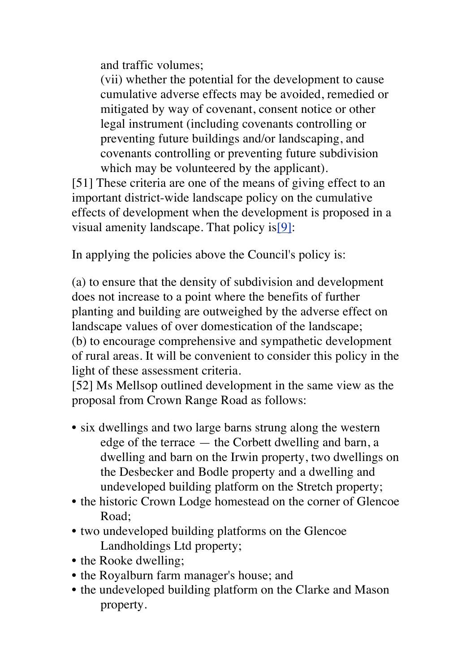and traffic volumes;

(vii) whether the potential for the development to cause cumulative adverse effects may be avoided, remedied or mitigated by way of covenant, consent notice or other legal instrument (including covenants controlling or preventing future buildings and/or landscaping, and covenants controlling or preventing future subdivision which may be volunteered by the applicant).

[51] These criteria are one of the means of giving effect to an important district-wide landscape policy on the cumulative effects of development when the development is proposed in a visual amenity landscape. That policy is[9]:

In applying the policies above the Council's policy is:

(a) to ensure that the density of subdivision and development does not increase to a point where the benefits of further planting and building are outweighed by the adverse effect on landscape values of over domestication of the landscape; (b) to encourage comprehensive and sympathetic development of rural areas. It will be convenient to consider this policy in the light of these assessment criteria.

[52] Ms Mellsop outlined development in the same view as the proposal from Crown Range Road as follows:

- six dwellings and two large barns strung along the western edge of the terrace — the Corbett dwelling and barn, a dwelling and barn on the Irwin property, two dwellings on the Desbecker and Bodle property and a dwelling and undeveloped building platform on the Stretch property;
- the historic Crown Lodge homestead on the corner of Glencoe Road;
- two undeveloped building platforms on the Glencoe Landholdings Ltd property;
- the Rooke dwelling;
- the Royalburn farm manager's house; and
- the undeveloped building platform on the Clarke and Mason property.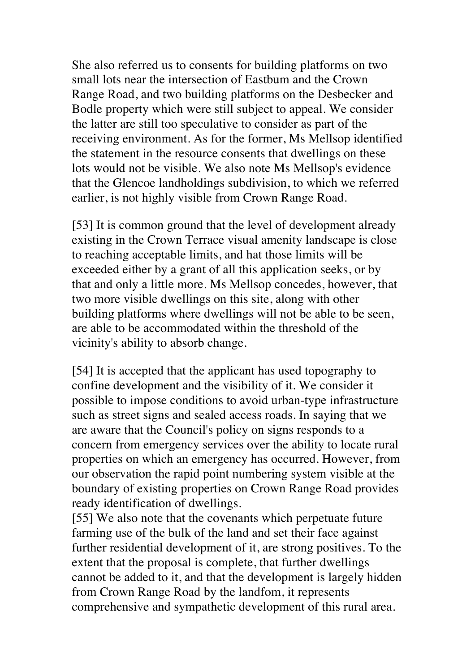She also referred us to consents for building platforms on two small lots near the intersection of Eastbum and the Crown Range Road, and two building platforms on the Desbecker and Bodle property which were still subject to appeal. We consider the latter are still too speculative to consider as part of the receiving environment. As for the former, Ms Mellsop identified the statement in the resource consents that dwellings on these lots would not be visible. We also note Ms Mellsop's evidence that the Glencoe landholdings subdivision, to which we referred earlier, is not highly visible from Crown Range Road.

[53] It is common ground that the level of development already existing in the Crown Terrace visual amenity landscape is close to reaching acceptable limits, and hat those limits will be exceeded either by a grant of all this application seeks, or by that and only a little more. Ms Mellsop concedes, however, that two more visible dwellings on this site, along with other building platforms where dwellings will not be able to be seen, are able to be accommodated within the threshold of the vicinity's ability to absorb change.

[54] It is accepted that the applicant has used topography to confine development and the visibility of it. We consider it possible to impose conditions to avoid urban-type infrastructure such as street signs and sealed access roads. In saying that we are aware that the Council's policy on signs responds to a concern from emergency services over the ability to locate rural properties on which an emergency has occurred. However, from our observation the rapid point numbering system visible at the boundary of existing properties on Crown Range Road provides ready identification of dwellings.

[55] We also note that the covenants which perpetuate future farming use of the bulk of the land and set their face against further residential development of it, are strong positives. To the extent that the proposal is complete, that further dwellings cannot be added to it, and that the development is largely hidden from Crown Range Road by the landfom, it represents comprehensive and sympathetic development of this rural area.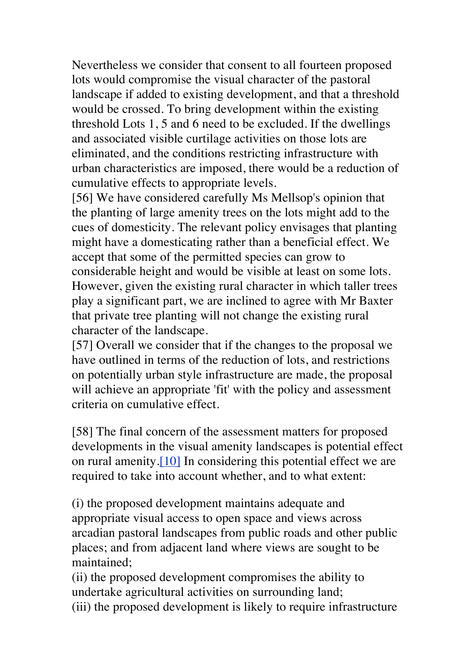Nevertheless we consider that consent to all fourteen proposed lots would compromise the visual character of the pastoral landscape if added to existing development, and that a threshold would be crossed. To bring development within the existing threshold Lots 1, 5 and 6 need to be excluded. If the dwellings and associated visible curtilage activities on those lots are eliminated, and the conditions restricting infrastructure with urban characteristics are imposed, there would be a reduction of cumulative effects to appropriate levels.

[56] We have considered carefully Ms Mellsop's opinion that the planting of large amenity trees on the lots might add to the cues of domesticity. The relevant policy envisages that planting might have a domesticating rather than a beneficial effect. We accept that some of the permitted species can grow to considerable height and would be visible at least on some lots. However, given the existing rural character in which taller trees play a significant part, we are inclined to agree with Mr Baxter that private tree planting will not change the existing rural character of the landscape.

[57] Overall we consider that if the changes to the proposal we have outlined in terms of the reduction of lots, and restrictions on potentially urban style infrastructure are made, the proposal will achieve an appropriate 'fit' with the policy and assessment criteria on cumulative effect.

[58] The final concern of the assessment matters for proposed developments in the visual amenity landscapes is potential effect on rural amenity.[10] In considering this potential effect we are required to take into account whether, and to what extent:

(i) the proposed development maintains adequate and appropriate visual access to open space and views across arcadian pastoral landscapes from public roads and other public places; and from adjacent land where views are sought to be maintained;

(ii) the proposed development compromises the ability to undertake agricultural activities on surrounding land; (iii) the proposed development is likely to require infrastructure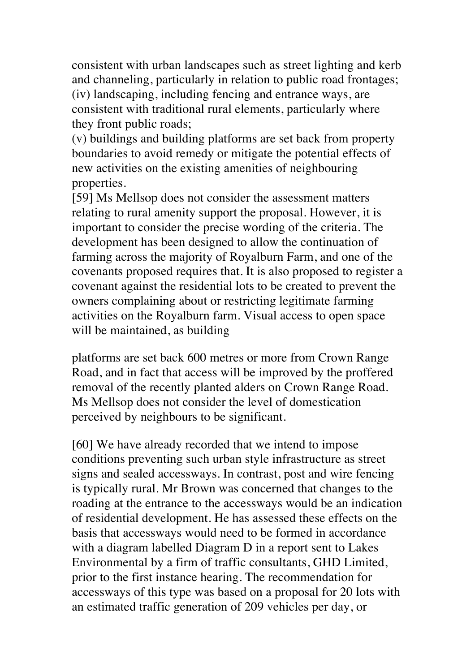consistent with urban landscapes such as street lighting and kerb and channeling, particularly in relation to public road frontages; (iv) landscaping, including fencing and entrance ways, are consistent with traditional rural elements, particularly where they front public roads;

(v) buildings and building platforms are set back from property boundaries to avoid remedy or mitigate the potential effects of new activities on the existing amenities of neighbouring properties.

[59] Ms Mellsop does not consider the assessment matters relating to rural amenity support the proposal. However, it is important to consider the precise wording of the criteria. The development has been designed to allow the continuation of farming across the majority of Royalburn Farm, and one of the covenants proposed requires that. It is also proposed to register a covenant against the residential lots to be created to prevent the owners complaining about or restricting legitimate farming activities on the Royalburn farm. Visual access to open space will be maintained, as building

platforms are set back 600 metres or more from Crown Range Road, and in fact that access will be improved by the proffered removal of the recently planted alders on Crown Range Road. Ms Mellsop does not consider the level of domestication perceived by neighbours to be significant.

[60] We have already recorded that we intend to impose conditions preventing such urban style infrastructure as street signs and sealed accessways. In contrast, post and wire fencing is typically rural. Mr Brown was concerned that changes to the roading at the entrance to the accessways would be an indication of residential development. He has assessed these effects on the basis that accessways would need to be formed in accordance with a diagram labelled Diagram D in a report sent to Lakes Environmental by a firm of traffic consultants, GHD Limited, prior to the first instance hearing. The recommendation for accessways of this type was based on a proposal for 20 lots with an estimated traffic generation of 209 vehicles per day, or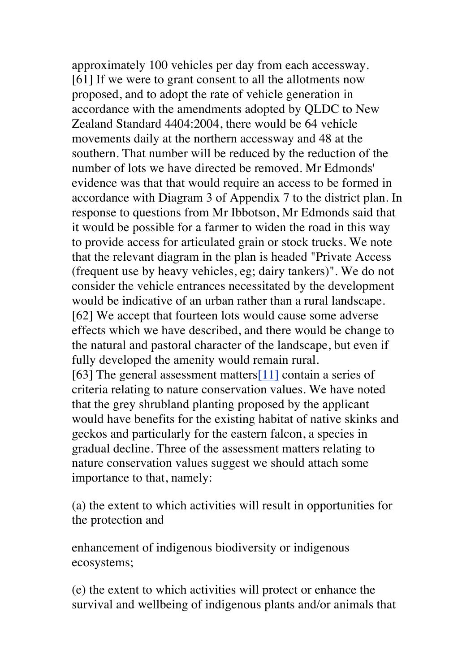approximately 100 vehicles per day from each accessway. [61] If we were to grant consent to all the allotments now proposed, and to adopt the rate of vehicle generation in accordance with the amendments adopted by QLDC to New Zealand Standard 4404:2004, there would be 64 vehicle movements daily at the northern accessway and 48 at the southern. That number will be reduced by the reduction of the number of lots we have directed be removed. Mr Edmonds' evidence was that that would require an access to be formed in accordance with Diagram 3 of Appendix 7 to the district plan. In response to questions from Mr Ibbotson, Mr Edmonds said that it would be possible for a farmer to widen the road in this way to provide access for articulated grain or stock trucks. We note that the relevant diagram in the plan is headed "Private Access (frequent use by heavy vehicles, eg; dairy tankers)". We do not consider the vehicle entrances necessitated by the development would be indicative of an urban rather than a rural landscape. [62] We accept that fourteen lots would cause some adverse effects which we have described, and there would be change to the natural and pastoral character of the landscape, but even if fully developed the amenity would remain rural. [63] The general assessment matters<sup>[11]</sup> contain a series of criteria relating to nature conservation values. We have noted that the grey shrubland planting proposed by the applicant would have benefits for the existing habitat of native skinks and geckos and particularly for the eastern falcon, a species in gradual decline. Three of the assessment matters relating to nature conservation values suggest we should attach some importance to that, namely:

(a) the extent to which activities will result in opportunities for the protection and

enhancement of indigenous biodiversity or indigenous ecosystems;

(e) the extent to which activities will protect or enhance the survival and wellbeing of indigenous plants and/or animals that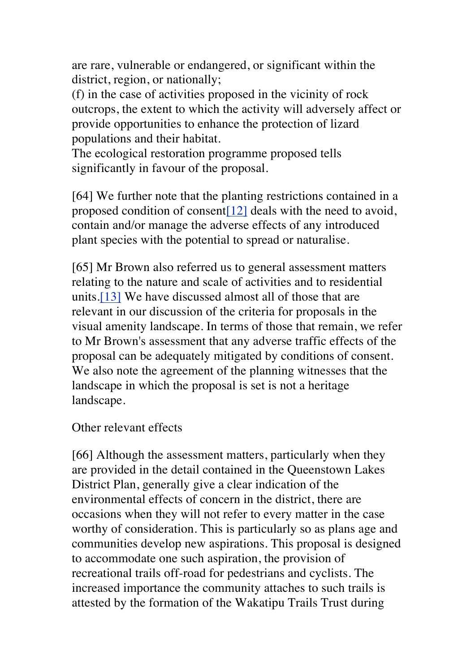are rare, vulnerable or endangered, or significant within the district, region, or nationally;

(f) in the case of activities proposed in the vicinity of rock outcrops, the extent to which the activity will adversely affect or provide opportunities to enhance the protection of lizard populations and their habitat.

The ecological restoration programme proposed tells significantly in favour of the proposal.

[64] We further note that the planting restrictions contained in a proposed condition of consent[12] deals with the need to avoid, contain and/or manage the adverse effects of any introduced plant species with the potential to spread or naturalise.

[65] Mr Brown also referred us to general assessment matters relating to the nature and scale of activities and to residential units.[13] We have discussed almost all of those that are relevant in our discussion of the criteria for proposals in the visual amenity landscape. In terms of those that remain, we refer to Mr Brown's assessment that any adverse traffic effects of the proposal can be adequately mitigated by conditions of consent. We also note the agreement of the planning witnesses that the landscape in which the proposal is set is not a heritage landscape.

Other relevant effects

[66] Although the assessment matters, particularly when they are provided in the detail contained in the Queenstown Lakes District Plan, generally give a clear indication of the environmental effects of concern in the district, there are occasions when they will not refer to every matter in the case worthy of consideration. This is particularly so as plans age and communities develop new aspirations. This proposal is designed to accommodate one such aspiration, the provision of recreational trails off-road for pedestrians and cyclists. The increased importance the community attaches to such trails is attested by the formation of the Wakatipu Trails Trust during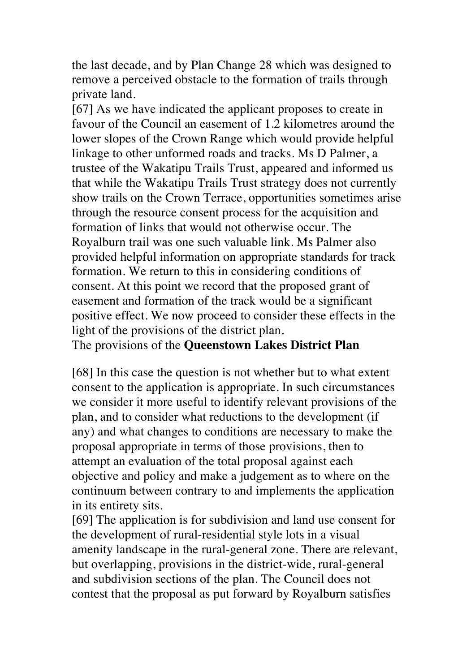the last decade, and by Plan Change 28 which was designed to remove a perceived obstacle to the formation of trails through private land.

[67] As we have indicated the applicant proposes to create in favour of the Council an easement of 1.2 kilometres around the lower slopes of the Crown Range which would provide helpful linkage to other unformed roads and tracks. Ms D Palmer, a trustee of the Wakatipu Trails Trust, appeared and informed us that while the Wakatipu Trails Trust strategy does not currently show trails on the Crown Terrace, opportunities sometimes arise through the resource consent process for the acquisition and formation of links that would not otherwise occur. The Royalburn trail was one such valuable link. Ms Palmer also provided helpful information on appropriate standards for track formation. We return to this in considering conditions of consent. At this point we record that the proposed grant of easement and formation of the track would be a significant positive effect. We now proceed to consider these effects in the light of the provisions of the district plan.

The provisions of the **Queenstown Lakes District Plan**

[68] In this case the question is not whether but to what extent consent to the application is appropriate. In such circumstances we consider it more useful to identify relevant provisions of the plan, and to consider what reductions to the development (if any) and what changes to conditions are necessary to make the proposal appropriate in terms of those provisions, then to attempt an evaluation of the total proposal against each objective and policy and make a judgement as to where on the continuum between contrary to and implements the application in its entirety sits.

[69] The application is for subdivision and land use consent for the development of rural-residential style lots in a visual amenity landscape in the rural-general zone. There are relevant, but overlapping, provisions in the district-wide, rural-general and subdivision sections of the plan. The Council does not contest that the proposal as put forward by Royalburn satisfies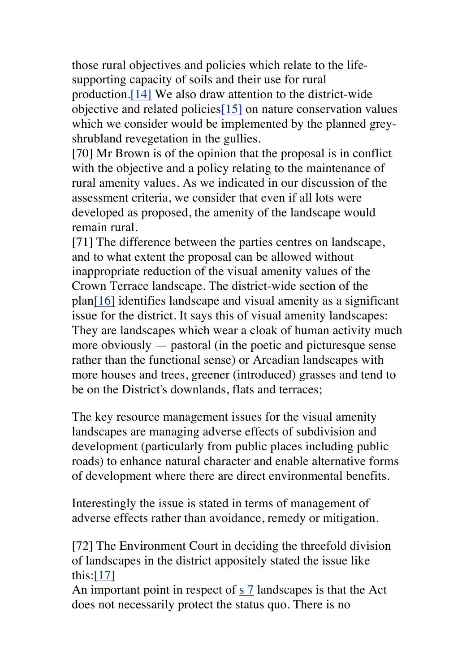those rural objectives and policies which relate to the lifesupporting capacity of soils and their use for rural production.[14] We also draw attention to the district-wide objective and related policies[15] on nature conservation values which we consider would be implemented by the planned greyshrubland revegetation in the gullies.

[70] Mr Brown is of the opinion that the proposal is in conflict with the objective and a policy relating to the maintenance of rural amenity values. As we indicated in our discussion of the assessment criteria, we consider that even if all lots were developed as proposed, the amenity of the landscape would remain rural.

[71] The difference between the parties centres on landscape, and to what extent the proposal can be allowed without inappropriate reduction of the visual amenity values of the Crown Terrace landscape. The district-wide section of the plan[16] identifies landscape and visual amenity as a significant issue for the district. It says this of visual amenity landscapes: They are landscapes which wear a cloak of human activity much more obviously — pastoral (in the poetic and picturesque sense rather than the functional sense) or Arcadian landscapes with more houses and trees, greener (introduced) grasses and tend to be on the District's downlands, flats and terraces;

The key resource management issues for the visual amenity landscapes are managing adverse effects of subdivision and development (particularly from public places including public roads) to enhance natural character and enable alternative forms of development where there are direct environmental benefits.

Interestingly the issue is stated in terms of management of adverse effects rather than avoidance, remedy or mitigation.

[72] The Environment Court in deciding the threefold division of landscapes in the district appositely stated the issue like this:[17]

An important point in respect of s 7 landscapes is that the Act does not necessarily protect the status quo. There is no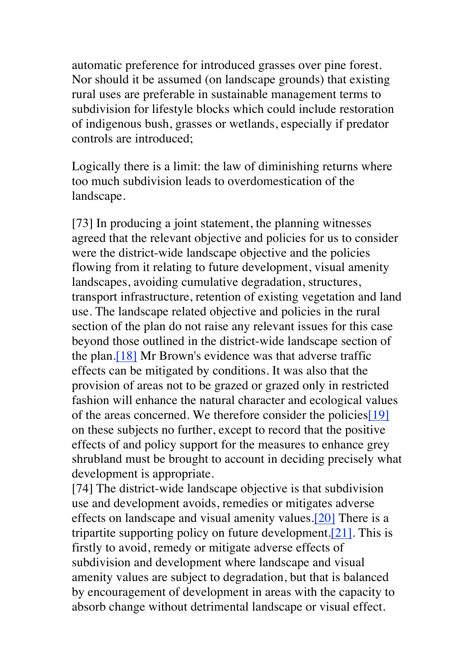automatic preference for introduced grasses over pine forest. Nor should it be assumed (on landscape grounds) that existing rural uses are preferable in sustainable management terms to subdivision for lifestyle blocks which could include restoration of indigenous bush, grasses or wetlands, especially if predator controls are introduced;

Logically there is a limit: the law of diminishing returns where too much subdivision leads to overdomestication of the landscape.

[73] In producing a joint statement, the planning witnesses agreed that the relevant objective and policies for us to consider were the district-wide landscape objective and the policies flowing from it relating to future development, visual amenity landscapes, avoiding cumulative degradation, structures, transport infrastructure, retention of existing vegetation and land use. The landscape related objective and policies in the rural section of the plan do not raise any relevant issues for this case beyond those outlined in the district-wide landscape section of the plan.[18] Mr Brown's evidence was that adverse traffic effects can be mitigated by conditions. It was also that the provision of areas not to be grazed or grazed only in restricted fashion will enhance the natural character and ecological values of the areas concerned. We therefore consider the policies[19] on these subjects no further, except to record that the positive effects of and policy support for the measures to enhance grey shrubland must be brought to account in deciding precisely what development is appropriate.

[74] The district-wide landscape objective is that subdivision use and development avoids, remedies or mitigates adverse effects on landscape and visual amenity values.[20] There is a tripartite supporting policy on future development.[21]. This is firstly to avoid, remedy or mitigate adverse effects of subdivision and development where landscape and visual amenity values are subject to degradation, but that is balanced by encouragement of development in areas with the capacity to absorb change without detrimental landscape or visual effect.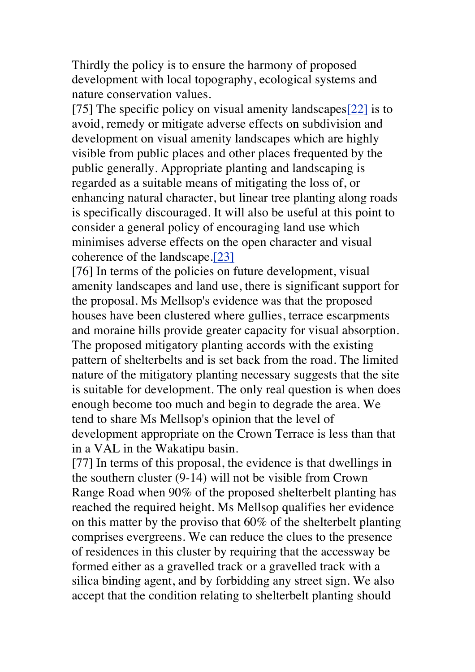Thirdly the policy is to ensure the harmony of proposed development with local topography, ecological systems and nature conservation values.

[75] The specific policy on visual amenity landscapes[22] is to avoid, remedy or mitigate adverse effects on subdivision and development on visual amenity landscapes which are highly visible from public places and other places frequented by the public generally. Appropriate planting and landscaping is regarded as a suitable means of mitigating the loss of, or enhancing natural character, but linear tree planting along roads is specifically discouraged. It will also be useful at this point to consider a general policy of encouraging land use which minimises adverse effects on the open character and visual coherence of the landscape.[23]

[76] In terms of the policies on future development, visual amenity landscapes and land use, there is significant support for the proposal. Ms Mellsop's evidence was that the proposed houses have been clustered where gullies, terrace escarpments and moraine hills provide greater capacity for visual absorption. The proposed mitigatory planting accords with the existing pattern of shelterbelts and is set back from the road. The limited nature of the mitigatory planting necessary suggests that the site is suitable for development. The only real question is when does enough become too much and begin to degrade the area. We tend to share Ms Mellsop's opinion that the level of development appropriate on the Crown Terrace is less than that in a VAL in the Wakatipu basin.

[77] In terms of this proposal, the evidence is that dwellings in the southern cluster (9-14) will not be visible from Crown Range Road when 90% of the proposed shelterbelt planting has reached the required height. Ms Mellsop qualifies her evidence on this matter by the proviso that 60% of the shelterbelt planting comprises evergreens. We can reduce the clues to the presence of residences in this cluster by requiring that the accessway be formed either as a gravelled track or a gravelled track with a silica binding agent, and by forbidding any street sign. We also accept that the condition relating to shelterbelt planting should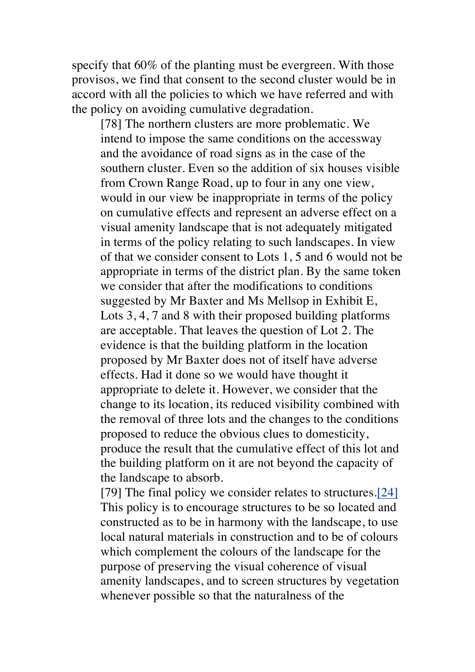specify that 60% of the planting must be evergreen. With those provisos, we find that consent to the second cluster would be in accord with all the policies to which we have referred and with the policy on avoiding cumulative degradation.

[78] The northern clusters are more problematic. We intend to impose the same conditions on the accessway and the avoidance of road signs as in the case of the southern cluster. Even so the addition of six houses visible from Crown Range Road, up to four in any one view, would in our view be inappropriate in terms of the policy on cumulative effects and represent an adverse effect on a visual amenity landscape that is not adequately mitigated in terms of the policy relating to such landscapes. In view of that we consider consent to Lots 1, 5 and 6 would not be appropriate in terms of the district plan. By the same token we consider that after the modifications to conditions suggested by Mr Baxter and Ms Mellsop in Exhibit E, Lots 3, 4, 7 and 8 with their proposed building platforms are acceptable. That leaves the question of Lot 2. The evidence is that the building platform in the location proposed by Mr Baxter does not of itself have adverse effects. Had it done so we would have thought it appropriate to delete it. However, we consider that the change to its location, its reduced visibility combined with the removal of three lots and the changes to the conditions proposed to reduce the obvious clues to domesticity, produce the result that the cumulative effect of this lot and the building platform on it are not beyond the capacity of the landscape to absorb.

[79] The final policy we consider relates to structures.[24] This policy is to encourage structures to be so located and constructed as to be in harmony with the landscape, to use local natural materials in construction and to be of colours which complement the colours of the landscape for the purpose of preserving the visual coherence of visual amenity landscapes, and to screen structures by vegetation whenever possible so that the naturalness of the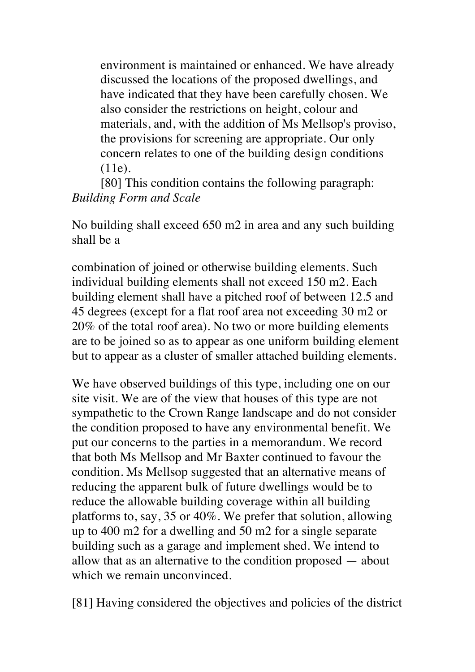environment is maintained or enhanced. We have already discussed the locations of the proposed dwellings, and have indicated that they have been carefully chosen. We also consider the restrictions on height, colour and materials, and, with the addition of Ms Mellsop's proviso, the provisions for screening are appropriate. Our only concern relates to one of the building design conditions (11e).

[80] This condition contains the following paragraph: *Building Form and Scale*

No building shall exceed 650 m2 in area and any such building shall be a

combination of joined or otherwise building elements. Such individual building elements shall not exceed 150 m2. Each building element shall have a pitched roof of between 12.5 and 45 degrees (except for a flat roof area not exceeding 30 m2 or 20% of the total roof area). No two or more building elements are to be joined so as to appear as one uniform building element but to appear as a cluster of smaller attached building elements.

We have observed buildings of this type, including one on our site visit. We are of the view that houses of this type are not sympathetic to the Crown Range landscape and do not consider the condition proposed to have any environmental benefit. We put our concerns to the parties in a memorandum. We record that both Ms Mellsop and Mr Baxter continued to favour the condition. Ms Mellsop suggested that an alternative means of reducing the apparent bulk of future dwellings would be to reduce the allowable building coverage within all building platforms to, say, 35 or 40%. We prefer that solution, allowing up to 400 m2 for a dwelling and 50 m2 for a single separate building such as a garage and implement shed. We intend to allow that as an alternative to the condition proposed — about which we remain unconvinced.

[81] Having considered the objectives and policies of the district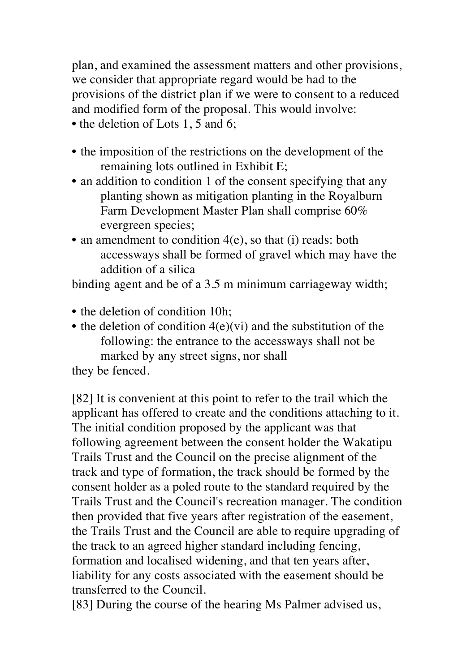plan, and examined the assessment matters and other provisions, we consider that appropriate regard would be had to the provisions of the district plan if we were to consent to a reduced and modified form of the proposal. This would involve: • the deletion of Lots 1, 5 and 6;

- the imposition of the restrictions on the development of the remaining lots outlined in Exhibit E;
- an addition to condition 1 of the consent specifying that any planting shown as mitigation planting in the Royalburn Farm Development Master Plan shall comprise 60% evergreen species;
- an amendment to condition 4(e), so that (i) reads: both accessways shall be formed of gravel which may have the addition of a silica

binding agent and be of a 3.5 m minimum carriageway width;

- the deletion of condition 10h;
- the deletion of condition  $4(e)(vi)$  and the substitution of the following: the entrance to the accessways shall not be marked by any street signs, nor shall

they be fenced.

[82] It is convenient at this point to refer to the trail which the applicant has offered to create and the conditions attaching to it. The initial condition proposed by the applicant was that following agreement between the consent holder the Wakatipu Trails Trust and the Council on the precise alignment of the track and type of formation, the track should be formed by the consent holder as a poled route to the standard required by the Trails Trust and the Council's recreation manager. The condition then provided that five years after registration of the easement, the Trails Trust and the Council are able to require upgrading of the track to an agreed higher standard including fencing, formation and localised widening, and that ten years after, liability for any costs associated with the easement should be transferred to the Council.

[83] During the course of the hearing Ms Palmer advised us,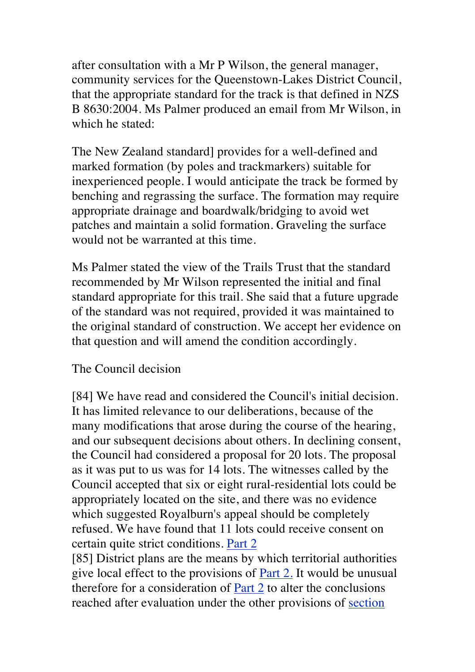after consultation with a Mr P Wilson, the general manager, community services for the Queenstown-Lakes District Council, that the appropriate standard for the track is that defined in NZS B 8630:2004. Ms Palmer produced an email from Mr Wilson, in which he stated:

The New Zealand standard] provides for a well-defined and marked formation (by poles and trackmarkers) suitable for inexperienced people. I would anticipate the track be formed by benching and regrassing the surface. The formation may require appropriate drainage and boardwalk/bridging to avoid wet patches and maintain a solid formation. Graveling the surface would not be warranted at this time.

Ms Palmer stated the view of the Trails Trust that the standard recommended by Mr Wilson represented the initial and final standard appropriate for this trail. She said that a future upgrade of the standard was not required, provided it was maintained to the original standard of construction. We accept her evidence on that question and will amend the condition accordingly.

#### The Council decision

[84] We have read and considered the Council's initial decision. It has limited relevance to our deliberations, because of the many modifications that arose during the course of the hearing, and our subsequent decisions about others. In declining consent, the Council had considered a proposal for 20 lots. The proposal as it was put to us was for 14 lots. The witnesses called by the Council accepted that six or eight rural-residential lots could be appropriately located on the site, and there was no evidence which suggested Royalburn's appeal should be completely refused. We have found that 11 lots could receive consent on certain quite strict conditions. Part 2

[85] District plans are the means by which territorial authorities give local effect to the provisions of Part 2. It would be unusual therefore for a consideration of Part 2 to alter the conclusions reached after evaluation under the other provisions of section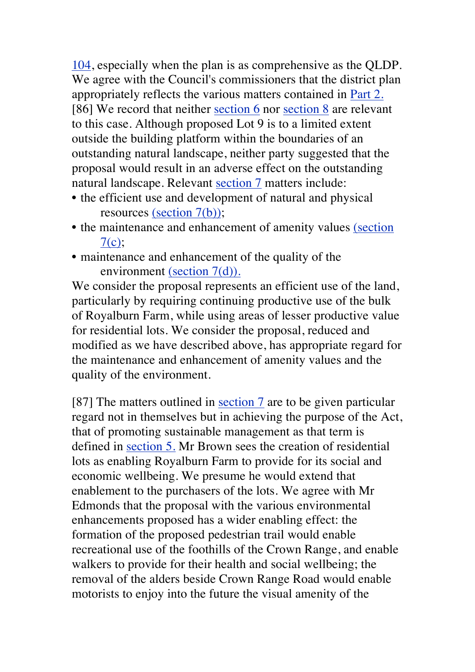104, especially when the plan is as comprehensive as the QLDP. We agree with the Council's commissioners that the district plan appropriately reflects the various matters contained in Part 2. [86] We record that neither section 6 nor section 8 are relevant to this case. Although proposed Lot 9 is to a limited extent outside the building platform within the boundaries of an outstanding natural landscape, neither party suggested that the proposal would result in an adverse effect on the outstanding natural landscape. Relevant section 7 matters include:

- the efficient use and development of natural and physical resources (section 7(b));
- the maintenance and enhancement of amenity values (section  $7(c)$ ;
- maintenance and enhancement of the quality of the environment (section 7(d)).

We consider the proposal represents an efficient use of the land, particularly by requiring continuing productive use of the bulk of Royalburn Farm, while using areas of lesser productive value for residential lots. We consider the proposal, reduced and modified as we have described above, has appropriate regard for the maintenance and enhancement of amenity values and the quality of the environment.

[87] The matters outlined in section 7 are to be given particular regard not in themselves but in achieving the purpose of the Act, that of promoting sustainable management as that term is defined in section 5. Mr Brown sees the creation of residential lots as enabling Royalburn Farm to provide for its social and economic wellbeing. We presume he would extend that enablement to the purchasers of the lots. We agree with Mr Edmonds that the proposal with the various environmental enhancements proposed has a wider enabling effect: the formation of the proposed pedestrian trail would enable recreational use of the foothills of the Crown Range, and enable walkers to provide for their health and social wellbeing; the removal of the alders beside Crown Range Road would enable motorists to enjoy into the future the visual amenity of the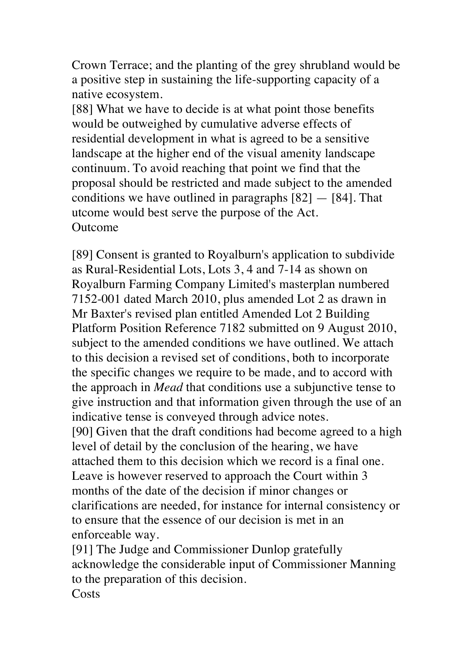Crown Terrace; and the planting of the grey shrubland would be a positive step in sustaining the life-supporting capacity of a native ecosystem.

[88] What we have to decide is at what point those benefits would be outweighed by cumulative adverse effects of residential development in what is agreed to be a sensitive landscape at the higher end of the visual amenity landscape continuum. To avoid reaching that point we find that the proposal should be restricted and made subject to the amended conditions we have outlined in paragraphs  $[82] - [84]$ . That utcome would best serve the purpose of the Act. **Outcome** 

[89] Consent is granted to Royalburn's application to subdivide as Rural-Residential Lots, Lots 3, 4 and 7-14 as shown on Royalburn Farming Company Limited's masterplan numbered 7152-001 dated March 2010, plus amended Lot 2 as drawn in Mr Baxter's revised plan entitled Amended Lot 2 Building Platform Position Reference 7182 submitted on 9 August 2010, subject to the amended conditions we have outlined. We attach to this decision a revised set of conditions, both to incorporate the specific changes we require to be made, and to accord with the approach in *Mead* that conditions use a subjunctive tense to give instruction and that information given through the use of an indicative tense is conveyed through advice notes. [90] Given that the draft conditions had become agreed to a high level of detail by the conclusion of the hearing, we have attached them to this decision which we record is a final one. Leave is however reserved to approach the Court within 3 months of the date of the decision if minor changes or clarifications are needed, for instance for internal consistency or to ensure that the essence of our decision is met in an enforceable way.

[91] The Judge and Commissioner Dunlop gratefully acknowledge the considerable input of Commissioner Manning to the preparation of this decision. **Costs**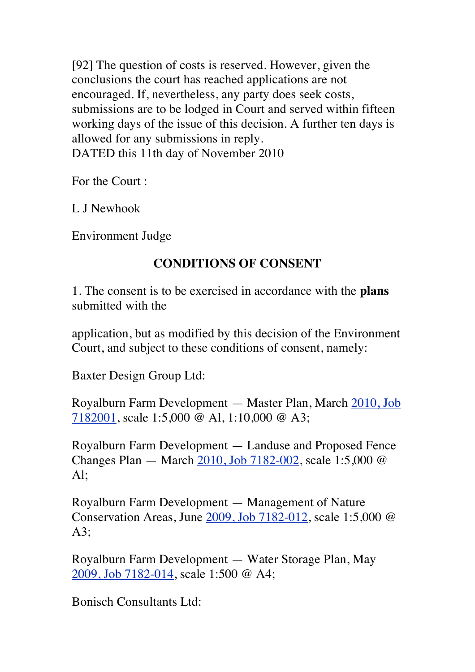[92] The question of costs is reserved. However, given the conclusions the court has reached applications are not encouraged. If, nevertheless, any party does seek costs, submissions are to be lodged in Court and served within fifteen working days of the issue of this decision. A further ten days is allowed for any submissions in reply. DATED this 11th day of November 2010

For the Court :

L J Newhook

Environment Judge

# **CONDITIONS OF CONSENT**

1. The consent is to be exercised in accordance with the **plans**  submitted with the

application, but as modified by this decision of the Environment Court, and subject to these conditions of consent, namely:

Baxter Design Group Ltd:

Royalburn Farm Development — Master Plan, March 2010, Job 7182001, scale 1:5,000 @ Al, 1:10,000 @ A3;

Royalburn Farm Development — Landuse and Proposed Fence Changes Plan — March 2010, Job 7182-002, scale 1:5,000 @ Al;

Royalburn Farm Development — Management of Nature Conservation Areas, June 2009, Job 7182-012, scale 1:5,000 @ A3;

Royalburn Farm Development — Water Storage Plan, May 2009, Job 7182-014, scale 1:500 @ A4;

Bonisch Consultants Ltd: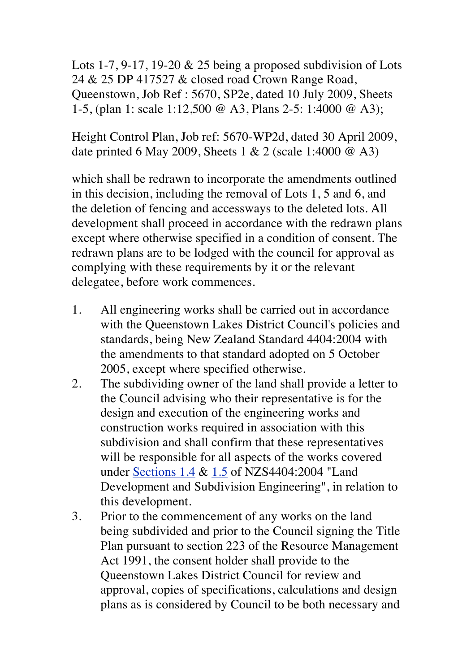Lots 1-7, 9-17, 19-20  $& 25$  being a proposed subdivision of Lots 24 & 25 DP 417527 & closed road Crown Range Road, Queenstown, Job Ref : 5670, SP2e, dated 10 July 2009, Sheets 1-5, (plan 1: scale 1:12,500 *@* A3, Plans 2-5: 1:4000 @ A3);

Height Control Plan, Job ref: 5670-WP2d, dated 30 April 2009, date printed 6 May 2009, Sheets 1 & 2 (scale 1:4000 @ A3)

which shall be redrawn to incorporate the amendments outlined in this decision, including the removal of Lots 1, 5 and 6, and the deletion of fencing and accessways to the deleted lots. All development shall proceed in accordance with the redrawn plans except where otherwise specified in a condition of consent. The redrawn plans are to be lodged with the council for approval as complying with these requirements by it or the relevant delegatee, before work commences.

- 1. All engineering works shall be carried out in accordance with the Queenstown Lakes District Council's policies and standards, being New Zealand Standard 4404:2004 with the amendments to that standard adopted on 5 October 2005, except where specified otherwise.
- 2. The subdividing owner of the land shall provide a letter to the Council advising who their representative is for the design and execution of the engineering works and construction works required in association with this subdivision and shall confirm that these representatives will be responsible for all aspects of the works covered under Sections 1.4 & 1.5 of NZS4404:2004 "Land Development and Subdivision Engineering", in relation to this development.
- 3. Prior to the commencement of any works on the land being subdivided and prior to the Council signing the Title Plan pursuant to section 223 of the Resource Management Act 1991, the consent holder shall provide to the Queenstown Lakes District Council for review and approval, copies of specifications, calculations and design plans as is considered by Council to be both necessary and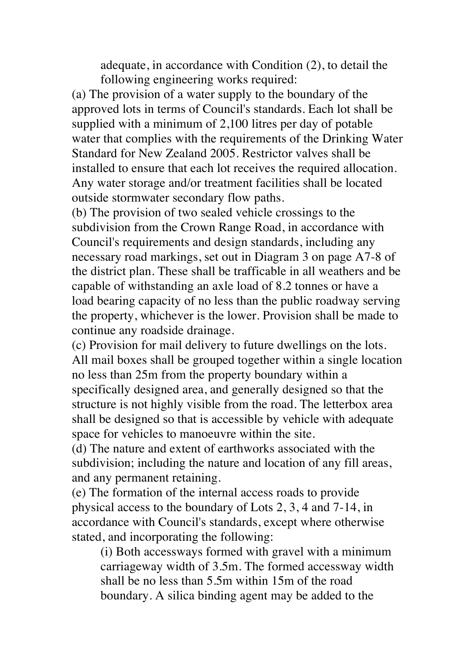adequate, in accordance with Condition (2), to detail the following engineering works required:

(a) The provision of a water supply to the boundary of the approved lots in terms of Council's standards. Each lot shall be supplied with a minimum of 2,100 litres per day of potable water that complies with the requirements of the Drinking Water Standard for New Zealand 2005. Restrictor valves shall be installed to ensure that each lot receives the required allocation. Any water storage and/or treatment facilities shall be located outside stormwater secondary flow paths.

(b) The provision of two sealed vehicle crossings to the subdivision from the Crown Range Road, in accordance with Council's requirements and design standards, including any necessary road markings, set out in Diagram 3 on page A7-8 of the district plan. These shall be trafficable in all weathers and be capable of withstanding an axle load of 8.2 tonnes or have a load bearing capacity of no less than the public roadway serving the property, whichever is the lower. Provision shall be made to continue any roadside drainage.

(c) Provision for mail delivery to future dwellings on the lots. All mail boxes shall be grouped together within a single location no less than 25m from the property boundary within a specifically designed area, and generally designed so that the structure is not highly visible from the road. The letterbox area shall be designed so that is accessible by vehicle with adequate space for vehicles to manoeuvre within the site.

(d) The nature and extent of earthworks associated with the subdivision; including the nature and location of any fill areas, and any permanent retaining.

(e) The formation of the internal access roads to provide physical access to the boundary of Lots 2, 3, 4 and 7-14, in accordance with Council's standards, except where otherwise stated, and incorporating the following:

(i) Both accessways formed with gravel with a minimum carriageway width of 3.5m. The formed accessway width shall be no less than 5.5m within 15m of the road boundary. A silica binding agent may be added to the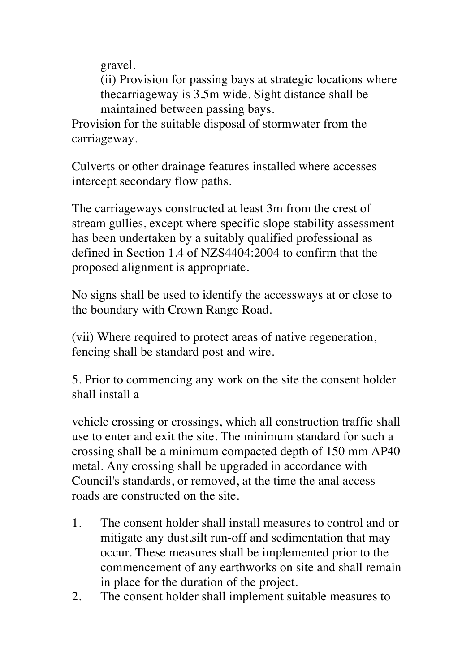gravel.

(ii) Provision for passing bays at strategic locations where thecarriageway is 3.5m wide. Sight distance shall be maintained between passing bays.

Provision for the suitable disposal of stormwater from the carriageway.

Culverts or other drainage features installed where accesses intercept secondary flow paths.

The carriageways constructed at least 3m from the crest of stream gullies, except where specific slope stability assessment has been undertaken by a suitably qualified professional as defined in Section 1.4 of NZS4404:2004 to confirm that the proposed alignment is appropriate.

No signs shall be used to identify the accessways at or close to the boundary with Crown Range Road.

(vii) Where required to protect areas of native regeneration, fencing shall be standard post and wire.

5. Prior to commencing any work on the site the consent holder shall install a

vehicle crossing or crossings, which all construction traffic shall use to enter and exit the site. The minimum standard for such a crossing shall be a minimum compacted depth of 150 mm AP40 metal. Any crossing shall be upgraded in accordance with Council's standards, or removed, at the time the anal access roads are constructed on the site.

- 1. The consent holder shall install measures to control and or mitigate any dust,silt run-off and sedimentation that may occur. These measures shall be implemented prior to the commencement of any earthworks on site and shall remain in place for the duration of the project.
- 2. The consent holder shall implement suitable measures to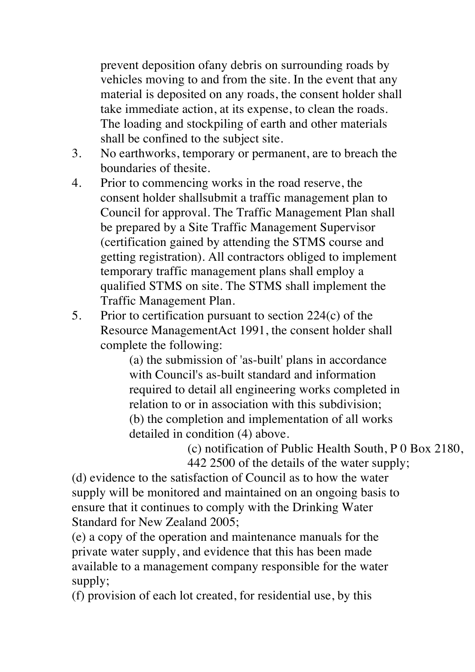prevent deposition ofany debris on surrounding roads by vehicles moving to and from the site. In the event that any material is deposited on any roads, the consent holder shall take immediate action, at its expense, to clean the roads. The loading and stockpiling of earth and other materials shall be confined to the subject site.

- 3. No earthworks, temporary or permanent, are to breach the boundaries of thesite.
- 4. Prior to commencing works in the road reserve, the consent holder shallsubmit a traffic management plan to Council for approval. The Traffic Management Plan shall be prepared by a Site Traffic Management Supervisor (certification gained by attending the STMS course and getting registration). All contractors obliged to implement temporary traffic management plans shall employ a qualified STMS on site. The STMS shall implement the Traffic Management Plan.
- 5. Prior to certification pursuant to section 224(c) of the Resource ManagementAct 1991, the consent holder shall complete the following:

(a) the submission of 'as-built' plans in accordance with Council's as-built standard and information required to detail all engineering works completed in relation to or in association with this subdivision; (b) the completion and implementation of all works detailed in condition (4) above.

(c) notification of Public Health South,  $P_0$  Box 2180, 442 2500 of the details of the water supply;

(d) evidence to the satisfaction of Council as to how the water supply will be monitored and maintained on an ongoing basis to ensure that it continues to comply with the Drinking Water Standard for New Zealand 2005;

(e) a copy of the operation and maintenance manuals for the private water supply, and evidence that this has been made available to a management company responsible for the water supply;

(f) provision of each lot created, for residential use, by this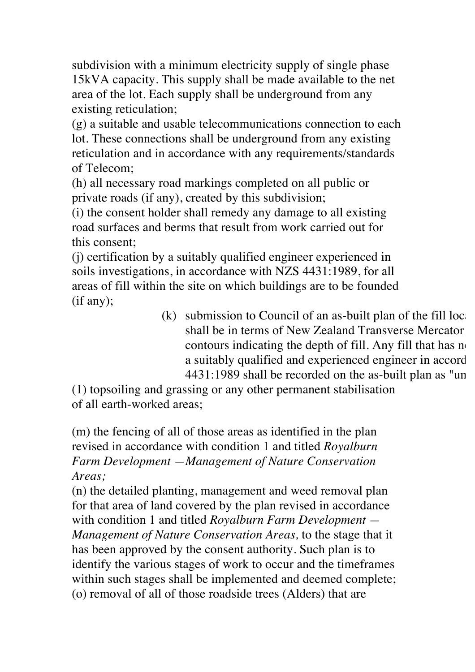subdivision with a minimum electricity supply of single phase 15kVA capacity. This supply shall be made available to the net area of the lot. Each supply shall be underground from any existing reticulation;

(g) a suitable and usable telecommunications connection to each lot. These connections shall be underground from any existing reticulation and in accordance with any requirements/standards of Telecom;

(h) all necessary road markings completed on all public or private roads (if any), created by this subdivision;

(i) the consent holder shall remedy any damage to all existing road surfaces and berms that result from work carried out for this consent;

(j) certification by a suitably qualified engineer experienced in soils investigations, in accordance with NZS 4431:1989, for all areas of fill within the site on which buildings are to be founded (if any);

(k) submission to Council of an as-built plan of the fill locations;  $\alpha$ shall be in terms of New Zealand Transverse Mercator contours indicating the depth of fill. Any fill that has  $n \in \mathbb{R}$ a suitably qualified and experienced engineer in accord  $4431:1989$  shall be recorded on the as-built plan as "un

(1) topsoiling and grassing or any other permanent stabilisation of all earth-worked areas;

(m) the fencing of all of those areas as identified in the plan revised in accordance with condition 1 and titled *Royalburn Farm Development —Management of Nature Conservation Areas;*

(n) the detailed planting, management and weed removal plan for that area of land covered by the plan revised in accordance with condition 1 and titled *Royalburn Farm Development — Management of Nature Conservation Areas,* to the stage that it has been approved by the consent authority. Such plan is to identify the various stages of work to occur and the timeframes within such stages shall be implemented and deemed complete; (o) removal of all of those roadside trees (Alders) that are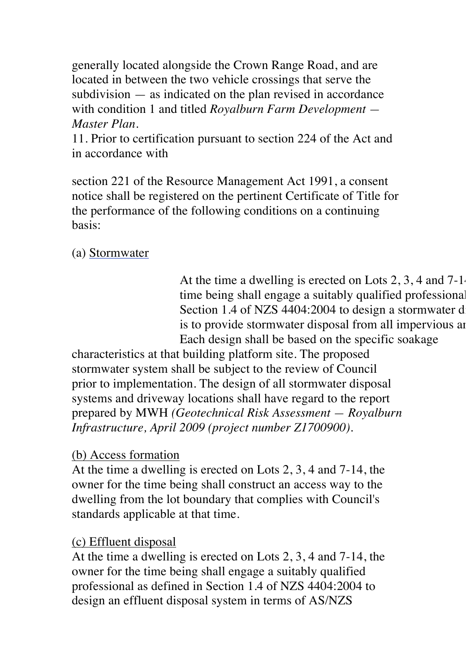generally located alongside the Crown Range Road, and are located in between the two vehicle crossings that serve the subdivision — as indicated on the plan revised in accordance with condition 1 and titled *Royalburn Farm Development — Master Plan.*

11. Prior to certification pursuant to section 224 of the Act and in accordance with

section 221 of the Resource Management Act 1991, a consent notice shall be registered on the pertinent Certificate of Title for the performance of the following conditions on a continuing basis:

(a) Stormwater

At the time a dwelling is erected on Lots  $2, 3, 4$  and  $7-1$ . time being shall engage a suitably qualified professional Section 1.4 of NZS 4404:2004 to design a stormwater disposal system. is to provide stormwater disposal from all impervious are Each design shall be based on the specific soakage

characteristics at that building platform site. The proposed stormwater system shall be subject to the review of Council prior to implementation. The design of all stormwater disposal systems and driveway locations shall have regard to the report prepared by MWH *(Geotechnical Risk Assessment — Royalburn Infrastructure, April 2009 (project number Z1700900).*

#### (b) Access formation

At the time a dwelling is erected on Lots 2, 3, 4 and 7-14, the owner for the time being shall construct an access way to the dwelling from the lot boundary that complies with Council's standards applicable at that time.

#### (c) Effluent disposal

At the time a dwelling is erected on Lots 2, 3, 4 and 7-14, the owner for the time being shall engage a suitably qualified professional as defined in Section 1.4 of NZS 4404:2004 to design an effluent disposal system in terms of AS/NZS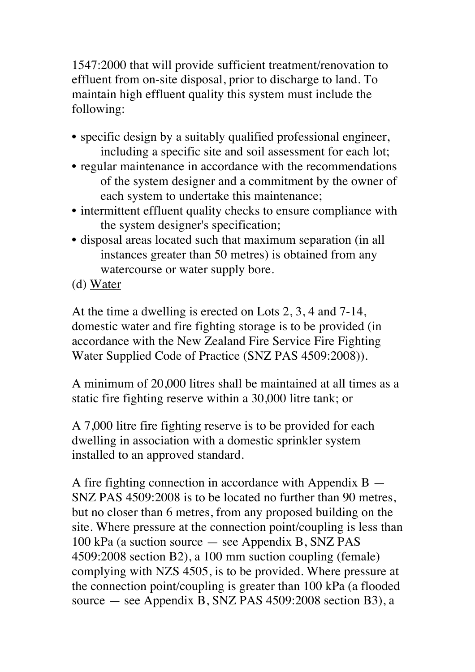1547:2000 that will provide sufficient treatment/renovation to effluent from on-site disposal, prior to discharge to land. To maintain high effluent quality this system must include the following:

- specific design by a suitably qualified professional engineer, including a specific site and soil assessment for each lot;
- regular maintenance in accordance with the recommendations of the system designer and a commitment by the owner of each system to undertake this maintenance;
- intermittent effluent quality checks to ensure compliance with the system designer's specification;
- disposal areas located such that maximum separation (in all instances greater than 50 metres) is obtained from any watercourse or water supply bore.
- (d) Water

At the time a dwelling is erected on Lots 2, 3, 4 and 7-14, domestic water and fire fighting storage is to be provided (in accordance with the New Zealand Fire Service Fire Fighting Water Supplied Code of Practice (SNZ PAS 4509:2008)).

A minimum of 20,000 litres shall be maintained at all times as a static fire fighting reserve within a 30,000 litre tank; or

A 7,000 litre fire fighting reserve is to be provided for each dwelling in association with a domestic sprinkler system installed to an approved standard.

A fire fighting connection in accordance with Appendix B — SNZ PAS 4509:2008 is to be located no further than 90 metres, but no closer than 6 metres, from any proposed building on the site. Where pressure at the connection point/coupling is less than 100 kPa (a suction source — see Appendix B, SNZ PAS 4509:2008 section B2), a 100 mm suction coupling (female) complying with NZS 4505, is to be provided. Where pressure at the connection point/coupling is greater than 100 kPa (a flooded source — see Appendix B, SNZ PAS 4509:2008 section B3), a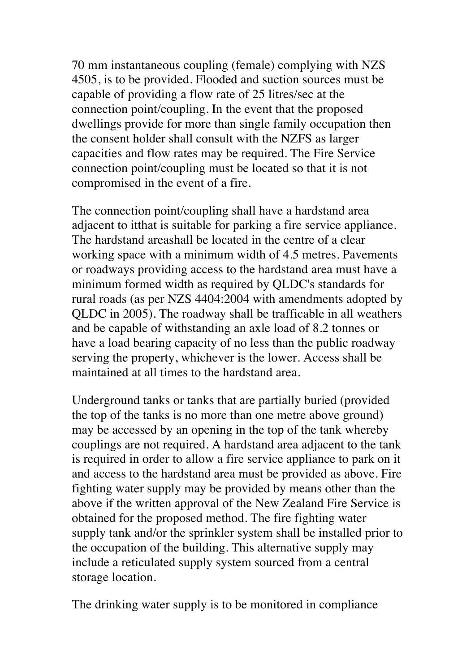70 mm instantaneous coupling (female) complying with NZS 4505, is to be provided. Flooded and suction sources must be capable of providing a flow rate of 25 litres/sec at the connection point/coupling. In the event that the proposed dwellings provide for more than single family occupation then the consent holder shall consult with the NZFS as larger capacities and flow rates may be required. The Fire Service connection point/coupling must be located so that it is not compromised in the event of a fire.

The connection point/coupling shall have a hardstand area adjacent to itthat is suitable for parking a fire service appliance. The hardstand areashall be located in the centre of a clear working space with a minimum width of 4.5 metres. Pavements or roadways providing access to the hardstand area must have a minimum formed width as required by QLDC's standards for rural roads (as per NZS 4404:2004 with amendments adopted by QLDC in 2005). The roadway shall be trafficable in all weathers and be capable of withstanding an axle load of 8.2 tonnes or have a load bearing capacity of no less than the public roadway serving the property, whichever is the lower. Access shall be maintained at all times to the hardstand area.

Underground tanks or tanks that are partially buried (provided the top of the tanks is no more than one metre above ground) may be accessed by an opening in the top of the tank whereby couplings are not required. A hardstand area adjacent to the tank is required in order to allow a fire service appliance to park on it and access to the hardstand area must be provided as above. Fire fighting water supply may be provided by means other than the above if the written approval of the New Zealand Fire Service is obtained for the proposed method. The fire fighting water supply tank and/or the sprinkler system shall be installed prior to the occupation of the building. This alternative supply may include a reticulated supply system sourced from a central storage location.

The drinking water supply is to be monitored in compliance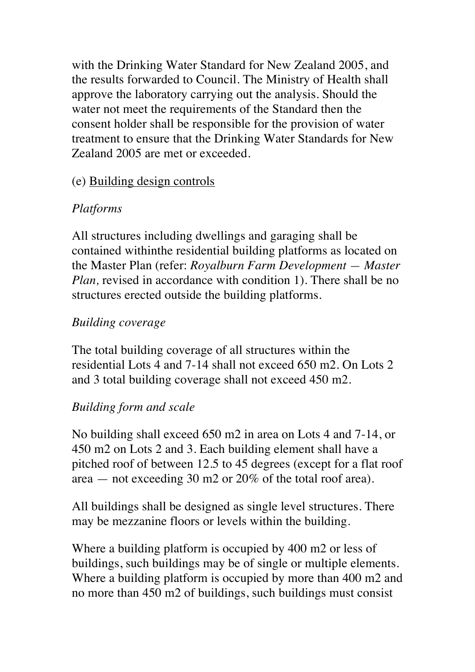with the Drinking Water Standard for New Zealand 2005, and the results forwarded to Council. The Ministry of Health shall approve the laboratory carrying out the analysis. Should the water not meet the requirements of the Standard then the consent holder shall be responsible for the provision of water treatment to ensure that the Drinking Water Standards for New Zealand 2005 are met or exceeded.

#### (e) Building design controls

# *Platforms*

All structures including dwellings and garaging shall be contained withinthe residential building platforms as located on the Master Plan (refer: *Royalburn Farm Development — Master Plan, revised in accordance with condition 1). There shall be no* structures erected outside the building platforms.

# *Building coverage*

The total building coverage of all structures within the residential Lots 4 and 7-14 shall not exceed 650 m2. On Lots 2 and 3 total building coverage shall not exceed 450 m2.

# *Building form and scale*

No building shall exceed 650 m2 in area on Lots 4 and 7-14, or 450 m2 on Lots 2 and 3. Each building element shall have a pitched roof of between 12.5 to 45 degrees (except for a flat roof area — not exceeding 30 m2 or 20% of the total roof area).

All buildings shall be designed as single level structures. There may be mezzanine floors or levels within the building.

Where a building platform is occupied by 400 m2 or less of buildings, such buildings may be of single or multiple elements. Where a building platform is occupied by more than 400 m2 and no more than 450 m2 of buildings, such buildings must consist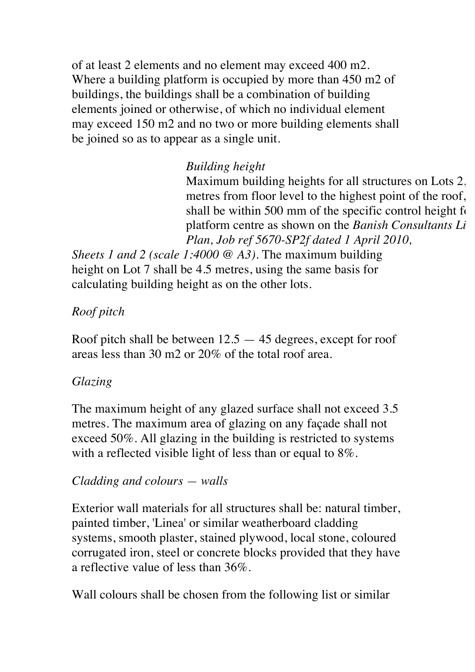of at least 2 elements and no element may exceed 400 m2. Where a building platform is occupied by more than 450 m2 of buildings, the buildings shall be a combination of building elements joined or otherwise, of which no individual element may exceed 150 m2 and no two or more building elements shall be joined so as to appear as a single unit.

# *Building height*

Maximum building heights for all structures on Lots 2, metres from floor level to the highest point of the roof, shall be within 500 mm of the specific control height  $f_0$ platform centre as shown on the *Banish Consultants Li*mited Height Controller *Plan, Job ref 5670-SP2f dated 1 April 2010,*

*Sheets 1 and 2 (scale 1:4000 @ A3).* The maximum building height on Lot 7 shall be 4.5 metres, using the same basis for calculating building height as on the other lots.

# *Roof pitch*

Roof pitch shall be between 12.5 — 45 degrees, except for roof areas less than 30 m2 or 20% of the total roof area.

# *Glazing*

The maximum height of any glazed surface shall not exceed 3.5 metres. The maximum area of glazing on any façade shall not exceed 50%. All glazing in the building is restricted to systems with a reflected visible light of less than or equal to 8%.

# *Cladding and colours — walls*

Exterior wall materials for all structures shall be: natural timber, painted timber, 'Linea' or similar weatherboard cladding systems, smooth plaster, stained plywood, local stone, coloured corrugated iron, steel or concrete blocks provided that they have a reflective value of less than 36%.

Wall colours shall be chosen from the following list or similar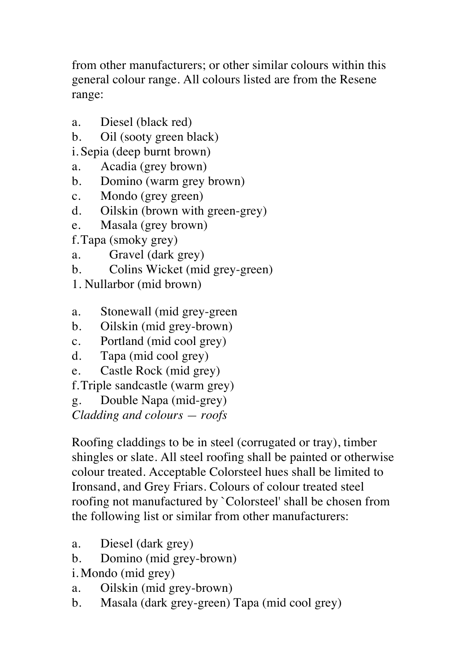from other manufacturers; or other similar colours within this general colour range. All colours listed are from the Resene range:

- a. Diesel (black red)
- b. Oil (sooty green black)
- i. Sepia (deep burnt brown)
- a. Acadia (grey brown)
- b. Domino (warm grey brown)
- c. Mondo (grey green)
- d. Oilskin (brown with green-grey)
- e. Masala (grey brown)

f.Tapa (smoky grey)

- a. Gravel (dark grey)
- b. Colins Wicket (mid grey-green)
- 1. Nullarbor (mid brown)
- a. Stonewall (mid grey-green
- b. Oilskin (mid grey-brown)
- c. Portland (mid cool grey)
- d. Tapa (mid cool grey)
- e. Castle Rock (mid grey)

f.Triple sandcastle (warm grey)

g. Double Napa (mid-grey)

*Cladding and colours — roofs*

Roofing claddings to be in steel (corrugated or tray), timber shingles or slate. All steel roofing shall be painted or otherwise colour treated. Acceptable Colorsteel hues shall be limited to Ironsand, and Grey Friars. Colours of colour treated steel roofing not manufactured by `Colorsteel' shall be chosen from the following list or similar from other manufacturers:

- a. Diesel (dark grey)
- b. Domino (mid grey-brown)
- i. Mondo (mid grey)
- a. Oilskin (mid grey-brown)
- b. Masala (dark grey-green) Tapa (mid cool grey)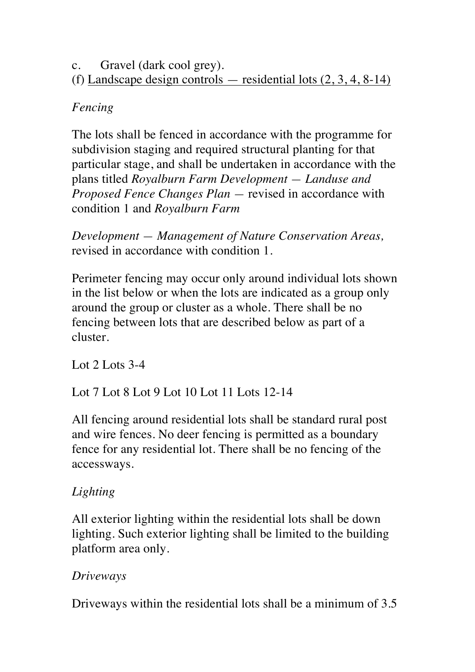c. Gravel (dark cool grey). (f) Landscape design controls — residential lots (2, 3, 4, 8-14)

# *Fencing*

The lots shall be fenced in accordance with the programme for subdivision staging and required structural planting for that particular stage, and shall be undertaken in accordance with the plans titled *Royalburn Farm Development — Landuse and Proposed Fence Changes Plan —* revised in accordance with condition 1 and *Royalburn Farm*

*Development — Management of Nature Conservation Areas,*  revised in accordance with condition 1.

Perimeter fencing may occur only around individual lots shown in the list below or when the lots are indicated as a group only around the group or cluster as a whole. There shall be no fencing between lots that are described below as part of a cluster.

Lot 2 Lots 3-4

Lot 7 Lot 8 Lot 9 Lot 10 Lot 11 Lots 12-14

All fencing around residential lots shall be standard rural post and wire fences. No deer fencing is permitted as a boundary fence for any residential lot. There shall be no fencing of the accessways.

# *Lighting*

All exterior lighting within the residential lots shall be down lighting. Such exterior lighting shall be limited to the building platform area only.

# *Driveways*

Driveways within the residential lots shall be a minimum of 3.5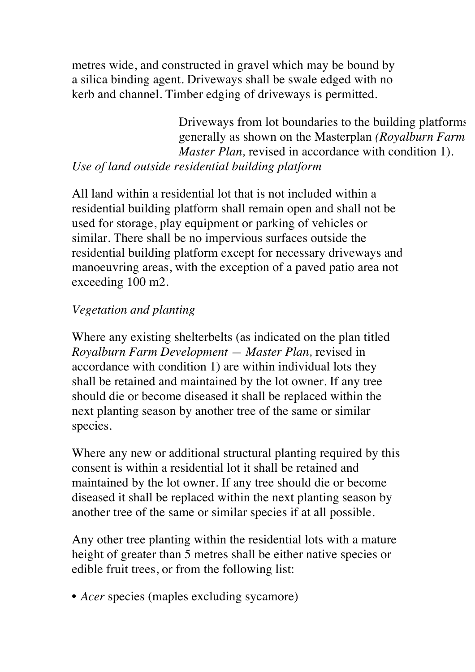metres wide, and constructed in gravel which may be bound by a silica binding agent. Driveways shall be swale edged with no kerb and channel. Timber edging of driveways is permitted.

Driveways from lot boundaries to the building platforms generally as shown on the Masterplan *(Royalburn Farm Master Plan, revised in accordance with condition 1). Use of land outside residential building platform*

All land within a residential lot that is not included within a residential building platform shall remain open and shall not be used for storage, play equipment or parking of vehicles or similar. There shall be no impervious surfaces outside the residential building platform except for necessary driveways and manoeuvring areas, with the exception of a paved patio area not exceeding 100 m2.

#### *Vegetation and planting*

Where any existing shelterbelts (as indicated on the plan titled *Royalburn Farm Development — Master Plan,* revised in accordance with condition 1) are within individual lots they shall be retained and maintained by the lot owner. If any tree should die or become diseased it shall be replaced within the next planting season by another tree of the same or similar species.

Where any new or additional structural planting required by this consent is within a residential lot it shall be retained and maintained by the lot owner. If any tree should die or become diseased it shall be replaced within the next planting season by another tree of the same or similar species if at all possible.

Any other tree planting within the residential lots with a mature height of greater than 5 metres shall be either native species or edible fruit trees, or from the following list:

• *Acer* species (maples excluding sycamore)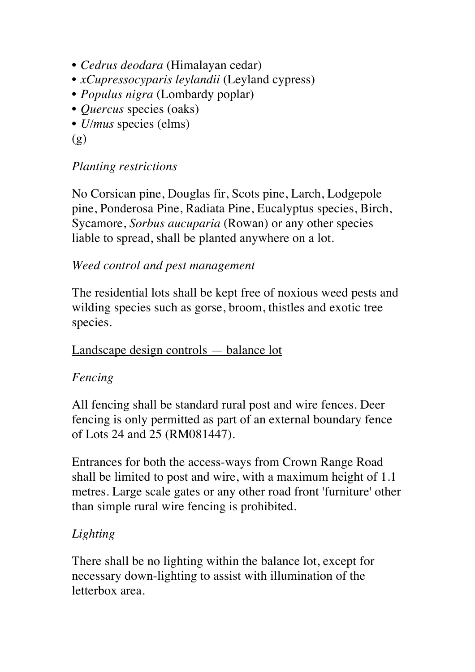- *Cedrus deodara* (Himalayan cedar)
- *xCupressocyparis leylandii* (Leyland cypress)
- *Populus nigra* (Lombardy poplar)
- *Quercus* species (oaks)
- *U/mus* species (elms)

(g)

#### *Planting restrictions*

No Corsican pine, Douglas fir, Scots pine, Larch, Lodgepole pine, Ponderosa Pine, Radiata Pine, Eucalyptus species, Birch, Sycamore, *Sorbus aucuparia* (Rowan) or any other species liable to spread, shall be planted anywhere on a lot.

#### *Weed control and pest management*

The residential lots shall be kept free of noxious weed pests and wilding species such as gorse, broom, thistles and exotic tree species.

#### Landscape design controls — balance lot

# *Fencing*

All fencing shall be standard rural post and wire fences. Deer fencing is only permitted as part of an external boundary fence of Lots 24 and 25 (RM081447).

Entrances for both the access-ways from Crown Range Road shall be limited to post and wire, with a maximum height of 1.1 metres. Large scale gates or any other road front 'furniture' other than simple rural wire fencing is prohibited.

# *Lighting*

There shall be no lighting within the balance lot, except for necessary down-lighting to assist with illumination of the letterbox area.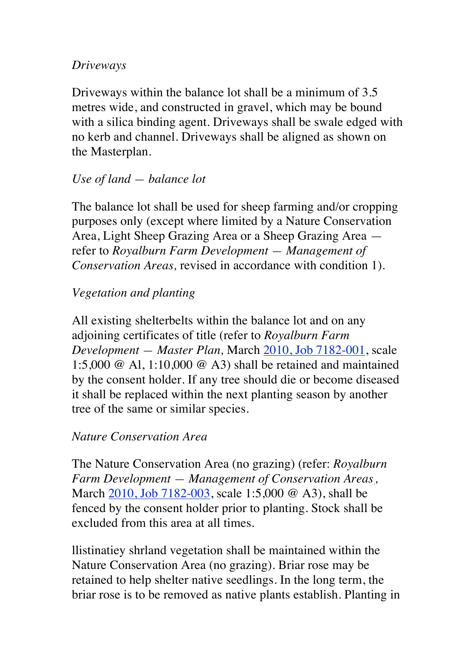#### *Driveways*

Driveways within the balance lot shall be a minimum of 3.5 metres wide, and constructed in gravel, which may be bound with a silica binding agent. Driveways shall be swale edged with no kerb and channel. Driveways shall be aligned as shown on the Masterplan.

# *Use of land — balance lot*

The balance lot shall be used for sheep farming and/or cropping purposes only (except where limited by a Nature Conservation Area, Light Sheep Grazing Area or a Sheep Grazing Area refer to *Royalburn Farm Development — Management of Conservation Areas,* revised in accordance with condition 1).

# *Vegetation and planting*

All existing shelterbelts within the balance lot and on any adjoining certificates of title (refer to *Royalburn Farm Development — Master Plan,* March 2010, Job 7182-001, scale 1:5,000 @ Al, 1:10,000 @ A3) shall be retained and maintained by the consent holder. If any tree should die or become diseased it shall be replaced within the next planting season by another tree of the same or similar species.

# *Nature Conservation Area*

The Nature Conservation Area (no grazing) (refer: *Royalburn Farm Development — Management of Conservation Areas. ,*  March 2010, Job 7182-003, scale 1:5,000 @ A3), shall be fenced by the consent holder prior to planting. Stock shall be excluded from this area at all times.

llistinatiey shrland vegetation shall be maintained within the Nature Conservation Area (no grazing). Briar rose may be retained to help shelter native seedlings. In the long term, the briar rose is to be removed as native plants establish. Planting in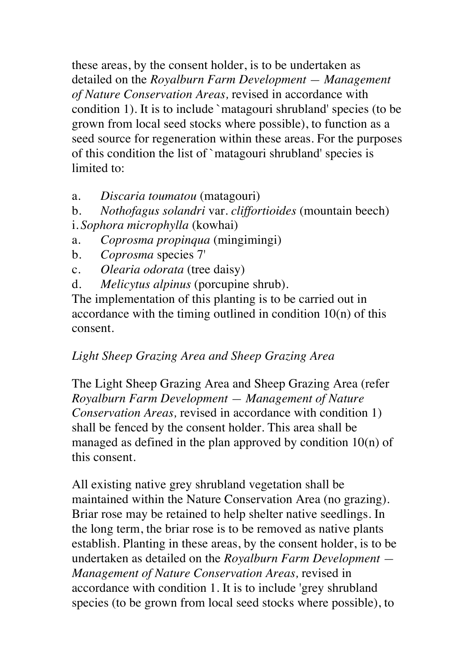these areas, by the consent holder, is to be undertaken as detailed on the *Royalburn Farm Development — Management of Nature Conservation Areas,* revised in accordance with condition 1). It is to include `matagouri shrubland' species (to be grown from local seed stocks where possible), to function as a seed source for regeneration within these areas. For the purposes of this condition the list of `matagouri shrubland' species is limited to:

a. *Discaria toumatou* (matagouri)

b. *Nothofagus solandri* var. *cliffortioides* (mountain beech) i. *Sophora microphylla* (kowhai)

- a. *Coprosma propinqua* (mingimingi)
- b. *Coprosma* species 7'
- c. *Olearia odorata* (tree daisy)
- d. *Melicytus alpinus* (porcupine shrub).

The implementation of this planting is to be carried out in accordance with the timing outlined in condition  $10(n)$  of this consent.

# *Light Sheep Grazing Area and Sheep Grazing Area*

The Light Sheep Grazing Area and Sheep Grazing Area (refer *Royalburn Farm Development — Management of Nature Conservation Areas,* revised in accordance with condition 1) shall be fenced by the consent holder. This area shall be managed as defined in the plan approved by condition 10(n) of this consent.

All existing native grey shrubland vegetation shall be maintained within the Nature Conservation Area (no grazing). Briar rose may be retained to help shelter native seedlings. In the long term, the briar rose is to be removed as native plants establish. Planting in these areas, by the consent holder, is to be undertaken as detailed on the *Royalburn Farm Development — Management of Nature Conservation Areas,* revised in accordance with condition 1. It is to include 'grey shrubland species (to be grown from local seed stocks where possible), to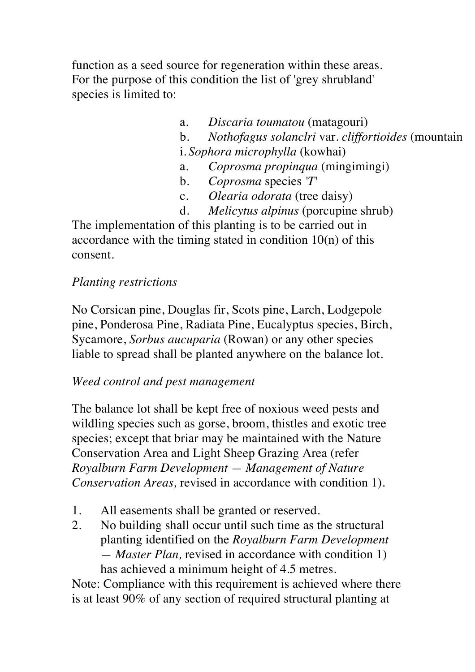function as a seed source for regeneration within these areas. For the purpose of this condition the list of 'grey shrubland' species is limited to:

- a. *Discaria toumatou* (matagouri)
- b. *Nothofagus solanclri var. cliffortioides* (mountain
- i. *Sophora microphylla* (kowhai)
- a. *Coprosma propinqua* (mingimingi)
- b. *Coprosma* species *'T'*
- c. *Olearia odorata* (tree daisy)
- d. *Melicytus alpinus* (porcupine shrub)

The implementation of this planting is to be carried out in accordance with the timing stated in condition  $10(n)$  of this consent.

#### *Planting restrictions*

No Corsican pine, Douglas fir, Scots pine, Larch, Lodgepole pine, Ponderosa Pine, Radiata Pine, Eucalyptus species, Birch, Sycamore, *Sorbus aucuparia* (Rowan) or any other species liable to spread shall be planted anywhere on the balance lot.

#### *Weed control and pest management*

The balance lot shall be kept free of noxious weed pests and wildling species such as gorse, broom, thistles and exotic tree species; except that briar may be maintained with the Nature Conservation Area and Light Sheep Grazing Area (refer *Royalburn Farm Development — Management of Nature Conservation Areas,* revised in accordance with condition 1).

- 1. All easements shall be granted or reserved.
- 2. No building shall occur until such time as the structural planting identified on the *Royalburn Farm Development — Master Plan,* revised in accordance with condition 1) has achieved a minimum height of 4.5 metres.

Note: Compliance with this requirement is achieved where there is at least 90% of any section of required structural planting at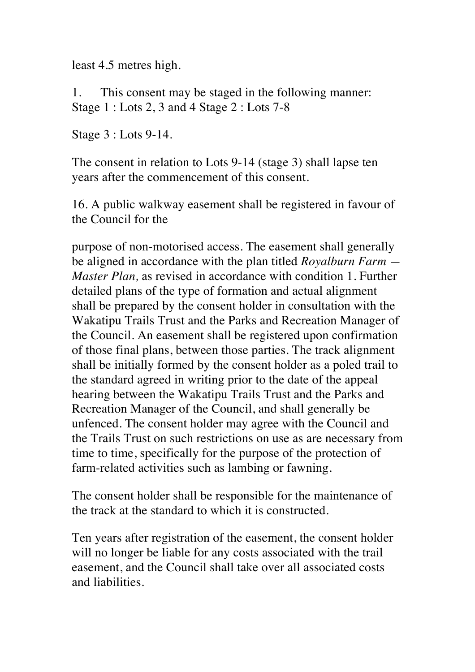least 4.5 metres high.

1. This consent may be staged in the following manner: Stage 1 : Lots 2, 3 and 4 Stage 2 : Lots 7-8

Stage 3 : Lots 9-14.

The consent in relation to Lots 9-14 (stage 3) shall lapse ten years after the commencement of this consent.

16. A public walkway easement shall be registered in favour of the Council for the

purpose of non-motorised access. The easement shall generally be aligned in accordance with the plan titled *Royalburn Farm — Master Plan,* as revised in accordance with condition 1. Further detailed plans of the type of formation and actual alignment shall be prepared by the consent holder in consultation with the Wakatipu Trails Trust and the Parks and Recreation Manager of the Council. An easement shall be registered upon confirmation of those final plans, between those parties. The track alignment shall be initially formed by the consent holder as a poled trail to the standard agreed in writing prior to the date of the appeal hearing between the Wakatipu Trails Trust and the Parks and Recreation Manager of the Council, and shall generally be unfenced. The consent holder may agree with the Council and the Trails Trust on such restrictions on use as are necessary from time to time, specifically for the purpose of the protection of farm-related activities such as lambing or fawning.

The consent holder shall be responsible for the maintenance of the track at the standard to which it is constructed.

Ten years after registration of the easement, the consent holder will no longer be liable for any costs associated with the trail easement, and the Council shall take over all associated costs and liabilities.